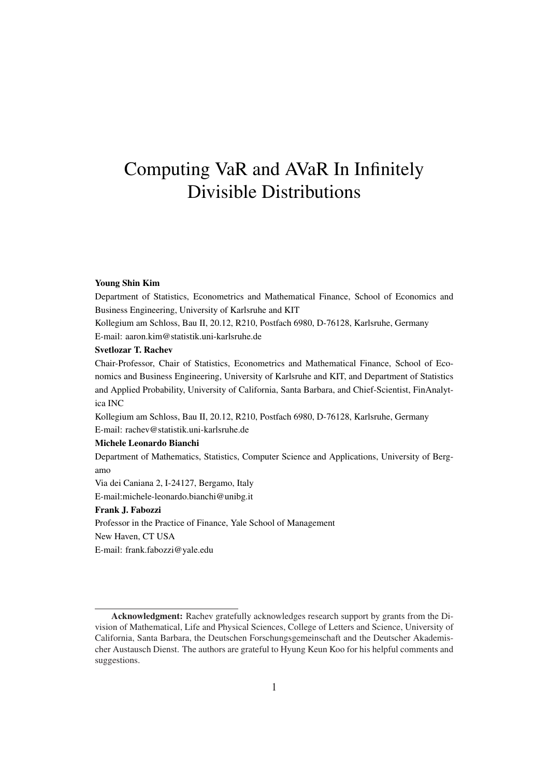# Computing VaR and AVaR In Infinitely Divisible Distributions

#### Young Shin Kim

Department of Statistics, Econometrics and Mathematical Finance, School of Economics and Business Engineering, University of Karlsruhe and KIT

Kollegium am Schloss, Bau II, 20.12, R210, Postfach 6980, D-76128, Karlsruhe, Germany E-mail: aaron.kim@statistik.uni-karlsruhe.de

#### Svetlozar T. Rachev

Chair-Professor, Chair of Statistics, Econometrics and Mathematical Finance, School of Economics and Business Engineering, University of Karlsruhe and KIT, and Department of Statistics and Applied Probability, University of California, Santa Barbara, and Chief-Scientist, FinAnalytica INC

Kollegium am Schloss, Bau II, 20.12, R210, Postfach 6980, D-76128, Karlsruhe, Germany E-mail: rachev@statistik.uni-karlsruhe.de

#### Michele Leonardo Bianchi

Department of Mathematics, Statistics, Computer Science and Applications, University of Bergamo

Via dei Caniana 2, I-24127, Bergamo, Italy

E-mail:michele-leonardo.bianchi@unibg.it

#### Frank J. Fabozzi

Professor in the Practice of Finance, Yale School of Management New Haven, CT USA E-mail: frank.fabozzi@yale.edu

Acknowledgment: Rachev gratefully acknowledges research support by grants from the Division of Mathematical, Life and Physical Sciences, College of Letters and Science, University of California, Santa Barbara, the Deutschen Forschungsgemeinschaft and the Deutscher Akademischer Austausch Dienst. The authors are grateful to Hyung Keun Koo for his helpful comments and suggestions.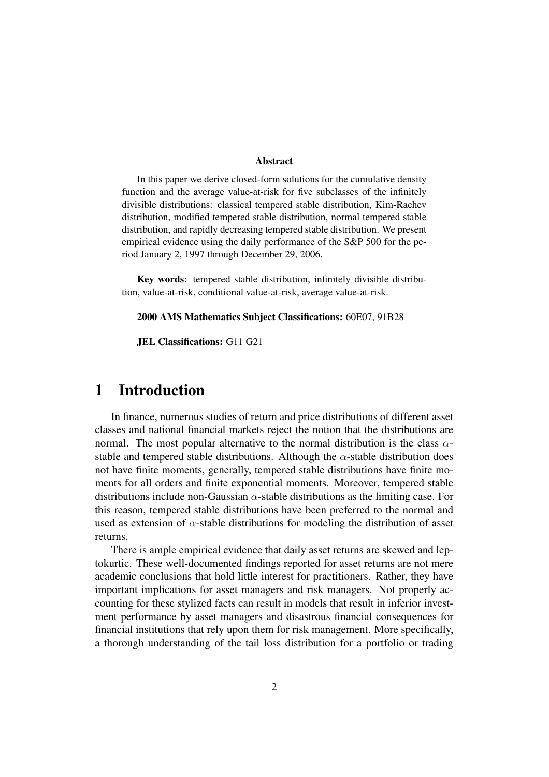#### Abstract

In this paper we derive closed-form solutions for the cumulative density function and the average value-at-risk for five subclasses of the infinitely divisible distributions: classical tempered stable distribution, Kim-Rachev distribution, modified tempered stable distribution, normal tempered stable distribution, and rapidly decreasing tempered stable distribution. We present empirical evidence using the daily performance of the S&P 500 for the period January 2, 1997 through December 29, 2006.

Key words: tempered stable distribution, infinitely divisible distribution, value-at-risk, conditional value-at-risk, average value-at-risk.

#### 2000 AMS Mathematics Subject Classifications: 60E07, 91B28

JEL Classifications: G11 G21

# 1 Introduction

In finance, numerous studies of return and price distributions of different asset classes and national financial markets reject the notion that the distributions are normal. The most popular alternative to the normal distribution is the class  $\alpha$ stable and tempered stable distributions. Although the  $\alpha$ -stable distribution does not have finite moments, generally, tempered stable distributions have finite moments for all orders and finite exponential moments. Moreover, tempered stable distributions include non-Gaussian  $\alpha$ -stable distributions as the limiting case. For this reason, tempered stable distributions have been preferred to the normal and used as extension of  $\alpha$ -stable distributions for modeling the distribution of asset returns.

There is ample empirical evidence that daily asset returns are skewed and leptokurtic. These well-documented findings reported for asset returns are not mere academic conclusions that hold little interest for practitioners. Rather, they have important implications for asset managers and risk managers. Not properly accounting for these stylized facts can result in models that result in inferior investment performance by asset managers and disastrous financial consequences for financial institutions that rely upon them for risk management. More specifically, a thorough understanding of the tail loss distribution for a portfolio or trading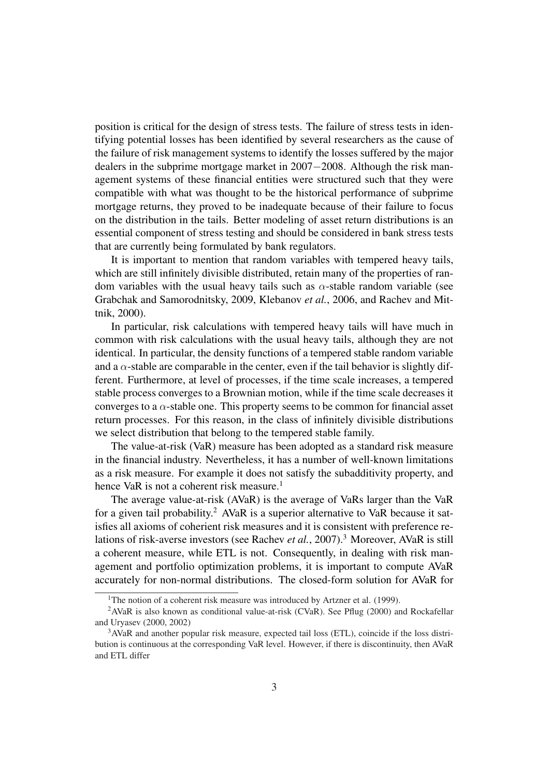position is critical for the design of stress tests. The failure of stress tests in identifying potential losses has been identified by several researchers as the cause of the failure of risk management systems to identify the losses suffered by the major dealers in the subprime mortgage market in 2007−2008. Although the risk management systems of these financial entities were structured such that they were compatible with what was thought to be the historical performance of subprime mortgage returns, they proved to be inadequate because of their failure to focus on the distribution in the tails. Better modeling of asset return distributions is an essential component of stress testing and should be considered in bank stress tests that are currently being formulated by bank regulators.

It is important to mention that random variables with tempered heavy tails, which are still infinitely divisible distributed, retain many of the properties of random variables with the usual heavy tails such as  $\alpha$ -stable random variable (see Grabchak and Samorodnitsky, 2009, Klebanov *et al.*, 2006, and Rachev and Mittnik, 2000).

In particular, risk calculations with tempered heavy tails will have much in common with risk calculations with the usual heavy tails, although they are not identical. In particular, the density functions of a tempered stable random variable and a  $\alpha$ -stable are comparable in the center, even if the tail behavior is slightly different. Furthermore, at level of processes, if the time scale increases, a tempered stable process converges to a Brownian motion, while if the time scale decreases it converges to a  $\alpha$ -stable one. This property seems to be common for financial asset return processes. For this reason, in the class of infinitely divisible distributions we select distribution that belong to the tempered stable family.

The value-at-risk (VaR) measure has been adopted as a standard risk measure in the financial industry. Nevertheless, it has a number of well-known limitations as a risk measure. For example it does not satisfy the subadditivity property, and hence VaR is not a coherent risk measure.<sup>1</sup>

The average value-at-risk (AVaR) is the average of VaRs larger than the VaR for a given tail probability.<sup>2</sup> AVaR is a superior alternative to VaR because it satisfies all axioms of coherient risk measures and it is consistent with preference relations of risk-averse investors (see Rachev *et al.*, 2007).<sup>3</sup> Moreover, AVaR is still a coherent measure, while ETL is not. Consequently, in dealing with risk management and portfolio optimization problems, it is important to compute AVaR accurately for non-normal distributions. The closed-form solution for AVaR for

<sup>&</sup>lt;sup>1</sup>The notion of a coherent risk measure was introduced by Artzner et al. (1999).

<sup>&</sup>lt;sup>2</sup>AVaR is also known as conditional value-at-risk (CVaR). See Pflug (2000) and Rockafellar and Uryasev (2000, 2002)

<sup>&</sup>lt;sup>3</sup>AVaR and another popular risk measure, expected tail loss (ETL), coincide if the loss distribution is continuous at the corresponding VaR level. However, if there is discontinuity, then AVaR and ETL differ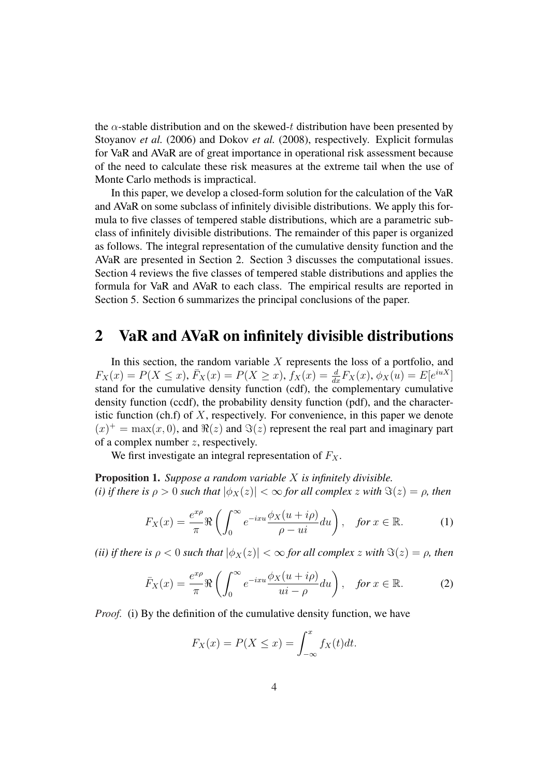the  $\alpha$ -stable distribution and on the skewed-t distribution have been presented by Stoyanov *et al.* (2006) and Dokov *et al.* (2008), respectively. Explicit formulas for VaR and AVaR are of great importance in operational risk assessment because of the need to calculate these risk measures at the extreme tail when the use of Monte Carlo methods is impractical.

In this paper, we develop a closed-form solution for the calculation of the VaR and AVaR on some subclass of infinitely divisible distributions. We apply this formula to five classes of tempered stable distributions, which are a parametric subclass of infinitely divisible distributions. The remainder of this paper is organized as follows. The integral representation of the cumulative density function and the AVaR are presented in Section 2. Section 3 discusses the computational issues. Section 4 reviews the five classes of tempered stable distributions and applies the formula for VaR and AVaR to each class. The empirical results are reported in Section 5. Section 6 summarizes the principal conclusions of the paper.

### 2 VaR and AVaR on infinitely divisible distributions

In this section, the random variable  $X$  represents the loss of a portfolio, and  $F_X(x) = P(X \le x), \bar{F}_X(x) = P(X \ge x), f_X(x) = \frac{d}{dx} F_X(x), \phi_X(u) = E[e^{iuX}]$ stand for the cumulative density function (cdf), the complementary cumulative density function (ccdf), the probability density function (pdf), and the characteristic function (ch.f) of  $X$ , respectively. For convenience, in this paper we denote  $f(x)^{+} = \max(x, 0)$ , and  $\Re(z)$  and  $\Im(z)$  represent the real part and imaginary part of a complex number z, respectively.

We first investigate an integral representation of  $F<sub>X</sub>$ .

Proposition 1. *Suppose a random variable* X *is infinitely divisible. (i) if there is*  $\rho > 0$  *such that*  $|\phi_X(z)| < \infty$  *for all complex z with*  $\Im(z) = \rho$ *, then* 

$$
F_X(x) = \frac{e^{x\rho}}{\pi} \Re \left( \int_0^\infty e^{-ixu} \frac{\phi_X(u+i\rho)}{\rho - ui} du \right), \quad \text{for } x \in \mathbb{R}.
$$
 (1)

*(ii) if there is*  $\rho < 0$  *such that*  $|\phi_X(z)| < \infty$  *for all complex z with*  $\Im(z) = \rho$ *, then* 

$$
\bar{F}_X(x) = \frac{e^{x\rho}}{\pi} \Re \left( \int_0^\infty e^{-ixu} \frac{\phi_X(u+i\rho)}{u i - \rho} du \right), \quad \text{for } x \in \mathbb{R}.
$$
 (2)

*Proof.* (i) By the definition of the cumulative density function, we have

$$
F_X(x) = P(X \le x) = \int_{-\infty}^x f_X(t)dt.
$$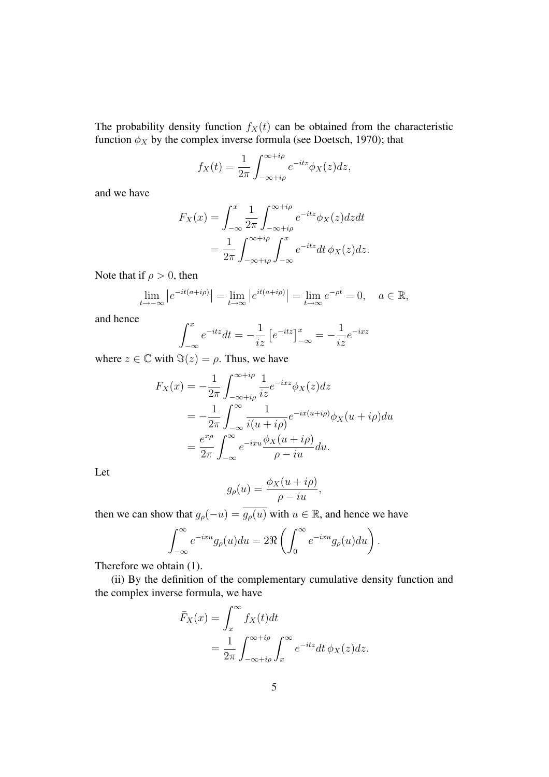The probability density function  $f_X(t)$  can be obtained from the characteristic function  $\phi_X$  by the complex inverse formula (see Doetsch, 1970); that

$$
f_X(t) = \frac{1}{2\pi} \int_{-\infty + i\rho}^{\infty + i\rho} e^{-itz} \phi_X(z) dz,
$$

and we have

$$
F_X(x) = \int_{-\infty}^x \frac{1}{2\pi} \int_{-\infty + i\rho}^{\infty + i\rho} e^{-itz} \phi_X(z) dz dt
$$
  
= 
$$
\frac{1}{2\pi} \int_{-\infty + i\rho}^{\infty + i\rho} \int_{-\infty}^x e^{-itz} dt \, \phi_X(z) dz.
$$

Note that if  $\rho > 0$ , then

$$
\lim_{t \to -\infty} \left| e^{-it(a+i\rho)} \right| = \lim_{t \to \infty} \left| e^{it(a+i\rho)} \right| = \lim_{t \to \infty} e^{-\rho t} = 0, \quad a \in \mathbb{R},
$$

and hence

$$
\int_{-\infty}^{x} e^{-itz} dt = -\frac{1}{iz} \left[ e^{-itz} \right]_{-\infty}^{x} = -\frac{1}{iz} e^{-ixz}
$$

where  $z \in \mathbb{C}$  with  $\Im(z) = \rho$ . Thus, we have

$$
F_X(x) = -\frac{1}{2\pi} \int_{-\infty + i\rho}^{\infty + i\rho} \frac{1}{iz} e^{-ixz} \phi_X(z) dz
$$
  
= 
$$
-\frac{1}{2\pi} \int_{-\infty}^{\infty} \frac{1}{i(u + i\rho)} e^{-ix(u + i\rho)} \phi_X(u + i\rho) du
$$
  
= 
$$
\frac{e^{x\rho}}{2\pi} \int_{-\infty}^{\infty} e^{-ixu} \frac{\phi_X(u + i\rho)}{\rho - iu} du.
$$

Let

$$
g_{\rho}(u) = \frac{\phi_X(u + i\rho)}{\rho - iu},
$$

then we can show that  $g_{\rho}(-u) = g_{\rho}(u)$  with  $u \in \mathbb{R}$ , and hence we have

$$
\int_{-\infty}^{\infty} e^{-ixu} g_{\rho}(u) du = 2\Re\left(\int_{0}^{\infty} e^{-ixu} g_{\rho}(u) du\right).
$$

Therefore we obtain (1).

(ii) By the definition of the complementary cumulative density function and the complex inverse formula, we have

$$
\bar{F}_X(x) = \int_x^{\infty} f_X(t)dt
$$
  
= 
$$
\frac{1}{2\pi} \int_{-\infty + i\rho}^{\infty + i\rho} \int_x^{\infty} e^{-itz} dt \, \phi_X(z)dz.
$$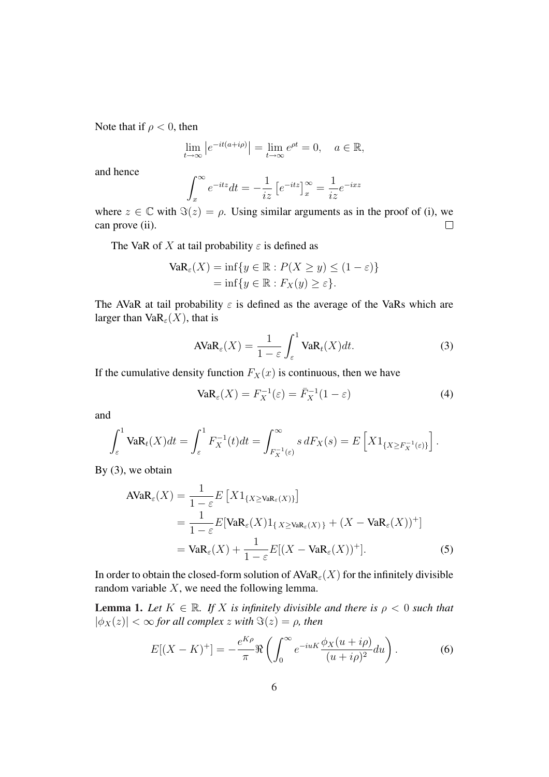Note that if  $\rho < 0$ , then

$$
\lim_{t \to \infty} \left| e^{-it(a+i\rho)} \right| = \lim_{t \to \infty} e^{\rho t} = 0, \quad a \in \mathbb{R},
$$

and hence

$$
\int_{x}^{\infty} e^{-itz} dt = -\frac{1}{iz} \left[ e^{-itz} \right]_{x}^{\infty} = \frac{1}{iz} e^{-ixz}
$$

where  $z \in \mathbb{C}$  with  $\Im(z) = \rho$ . Using similar arguments as in the proof of (i), we can prove (ii).  $\Box$ 

The VaR of X at tail probability  $\varepsilon$  is defined as

$$
VaR_{\varepsilon}(X) = \inf \{ y \in \mathbb{R} : P(X \ge y) \le (1 - \varepsilon) \}
$$
  
= 
$$
\inf \{ y \in \mathbb{R} : F_X(y) \ge \varepsilon \}.
$$

The AVaR at tail probability  $\varepsilon$  is defined as the average of the VaRs which are larger than  $VaR_{\varepsilon}(X)$ , that is

$$
AVaR_{\varepsilon}(X) = \frac{1}{1-\varepsilon} \int_{\varepsilon}^{1} VaR_{t}(X)dt.
$$
 (3)

If the cumulative density function  $F_X(x)$  is continuous, then we have

$$
VaR_{\varepsilon}(X) = F_X^{-1}(\varepsilon) = \bar{F}_X^{-1}(1 - \varepsilon)
$$
\n(4)

and

$$
\int_{\varepsilon}^1 \mathrm{VaR}_t(X) dt = \int_{\varepsilon}^1 F_X^{-1}(t) dt = \int_{F_X^{-1}(\varepsilon)}^{\infty} s dF_X(s) = E\left[X 1_{\{X \ge F_X^{-1}(\varepsilon)\}}\right].
$$

By  $(3)$ , we obtain

$$
\begin{split} \text{AVaR}_{\varepsilon}(X) &= \frac{1}{1-\varepsilon} E\left[X1_{\{X\geq \text{VaR}_{\varepsilon}(X)\}}\right] \\ &= \frac{1}{1-\varepsilon} E[\text{VaR}_{\varepsilon}(X)1_{\{X\geq \text{VaR}_{\varepsilon}(X)\}} + (X - \text{VaR}_{\varepsilon}(X))^+\] \\ &= \text{VaR}_{\varepsilon}(X) + \frac{1}{1-\varepsilon} E[(X - \text{VaR}_{\varepsilon}(X))^+]. \end{split} \tag{5}
$$

In order to obtain the closed-form solution of  $AVaR_{\varepsilon}(X)$  for the infinitely divisible random variable  $X$ , we need the following lemma.

**Lemma 1.** Let  $K \in \mathbb{R}$ . If X is infinitely divisible and there is  $\rho < 0$  such that  $|\phi_X(z)| < \infty$  *for all complex z with*  $\Im(z) = \rho$ *, then* 

$$
E[(X - K)^+] = -\frac{e^{K\rho}}{\pi} \Re \left( \int_0^\infty e^{-iu} \frac{\phi_X(u + i\rho)}{(u + i\rho)^2} du \right). \tag{6}
$$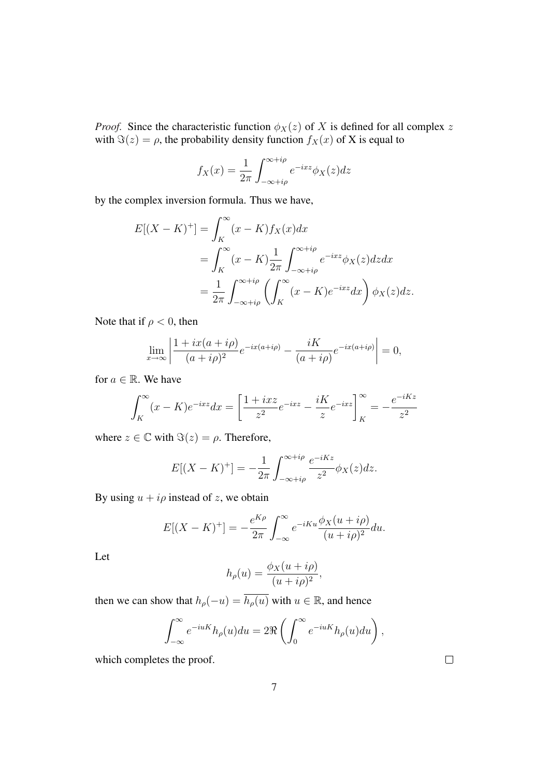*Proof.* Since the characteristic function  $\phi_X(z)$  of X is defined for all complex z with  $\Im(z) = \rho$ , the probability density function  $f_X(x)$  of X is equal to

$$
f_X(x) = \frac{1}{2\pi} \int_{-\infty + i\rho}^{\infty + i\rho} e^{-ixz} \phi_X(z) dz
$$

by the complex inversion formula. Thus we have,

$$
E[(X - K)^+] = \int_K^{\infty} (x - K) f_X(x) dx
$$
  
= 
$$
\int_K^{\infty} (x - K) \frac{1}{2\pi} \int_{-\infty + i\rho}^{\infty + i\rho} e^{-ixz} \phi_X(z) dz dx
$$
  
= 
$$
\frac{1}{2\pi} \int_{-\infty + i\rho}^{\infty + i\rho} \left( \int_K^{\infty} (x - K) e^{-ixz} dx \right) \phi_X(z) dz.
$$

Note that if  $\rho < 0$ , then

$$
\lim_{x \to \infty} \left| \frac{1 + ix(a + i\rho)}{(a + i\rho)^2} e^{-ix(a + i\rho)} - \frac{iK}{(a + i\rho)} e^{-ix(a + i\rho)} \right| = 0,
$$

for  $a \in \mathbb{R}$ . We have

$$
\int_{K}^{\infty} (x - K)e^{-ixz} dx = \left[ \frac{1 + ixz}{z^2} e^{-ixz} - \frac{iK}{z} e^{-ixz} \right]_{K}^{\infty} = -\frac{e^{-iKz}}{z^2}
$$

where  $z \in \mathbb{C}$  with  $\Im(z) = \rho$ . Therefore,

$$
E[(X - K)^+] = -\frac{1}{2\pi} \int_{-\infty + i\rho}^{\infty + i\rho} \frac{e^{-iKz}}{z^2} \phi_X(z) dz.
$$

By using  $u + i\rho$  instead of z, we obtain

$$
E[(X - K)^+] = -\frac{e^{K\rho}}{2\pi} \int_{-\infty}^{\infty} e^{-iKu} \frac{\phi_X(u + i\rho)}{(u + i\rho)^2} du.
$$

Let

$$
h_{\rho}(u) = \frac{\phi_X(u + i\rho)}{(u + i\rho)^2},
$$

then we can show that  $h_{\rho}(-u) = \overline{h_{\rho}(u)}$  with  $u \in \mathbb{R}$ , and hence

$$
\int_{-\infty}^{\infty} e^{-iuK} h_{\rho}(u) du = 2\Re\left(\int_{0}^{\infty} e^{-iuK} h_{\rho}(u) du\right),
$$

which completes the proof.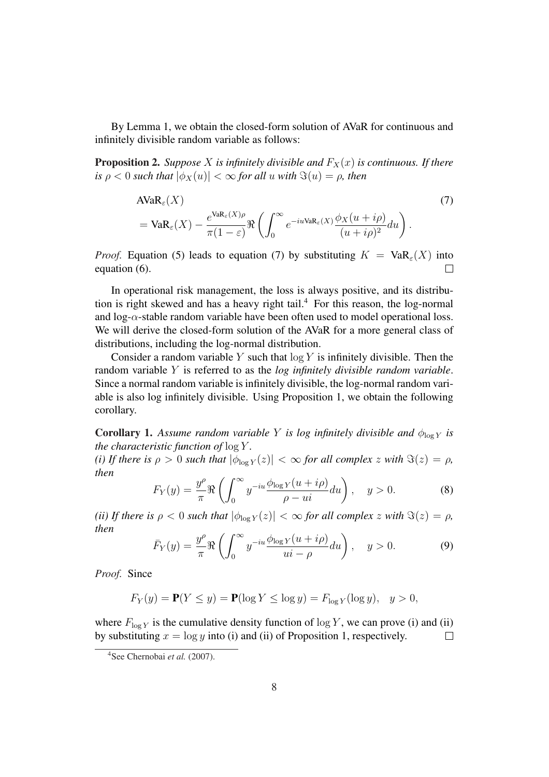By Lemma 1, we obtain the closed-form solution of AVaR for continuous and infinitely divisible random variable as follows:

**Proposition 2.** *Suppose* X *is infinitely divisible and*  $F_X(x)$  *is continuous. If there is*  $\rho < 0$  *such that*  $|\phi_X(u)| < \infty$  *for all u with*  $\Im(u) = \rho$ *, then* 

$$
\begin{split} \text{AVaR}_{\varepsilon}(X) &= \text{VaR}_{\varepsilon}(X) - \frac{e^{\text{VaR}_{\varepsilon}(X)\rho}}{\pi(1-\varepsilon)} \Re \left( \int_0^\infty e^{-iu\text{VaR}_{\varepsilon}(X)} \frac{\phi_X(u+i\rho)}{(u+i\rho)^2} du \right). \end{split} \tag{7}
$$

*Proof.* Equation (5) leads to equation (7) by substituting  $K = \text{VaR}_{\varepsilon}(X)$  into equation (6).  $\Box$ 

In operational risk management, the loss is always positive, and its distribution is right skewed and has a heavy right tail.<sup>4</sup> For this reason, the log-normal and  $\log-\alpha$ -stable random variable have been often used to model operational loss. We will derive the closed-form solution of the AVaR for a more general class of distributions, including the log-normal distribution.

Consider a random variable Y such that  $log Y$  is infinitely divisible. Then the random variable Y is referred to as the *log infinitely divisible random variable*. Since a normal random variable is infinitely divisible, the log-normal random variable is also log infinitely divisible. Using Proposition 1, we obtain the following corollary.

**Corollary 1.** Assume random variable Y is log infinitely divisible and  $\phi_{\log Y}$  is *the characteristic function of* log Y *.*

*(i) If there is*  $\rho > 0$  *such that*  $|\phi_{\log Y}(z)| < \infty$  *for all complex z with*  $\Im(z) = \rho$ *, then*  $\sqrt{r^{\infty}}$ 

$$
F_Y(y) = \frac{y^{\rho}}{\pi} \Re \left( \int_0^{\infty} y^{-iu} \frac{\phi_{\log Y}(u + i\rho)}{\rho - ui} du \right), \quad y > 0.
$$
 (8)

*(ii) If there is*  $\rho < 0$  *such that*  $|\phi_{\log Y}(z)| < \infty$  *for all complex z with*  $\Im(z) = \rho$ *, then*  $\sqrt{r^{\infty}}$ 

$$
\bar{F}_Y(y) = \frac{y^{\rho}}{\pi} \Re \left( \int_0^{\infty} y^{-iu} \frac{\phi_{\log Y}(u + i\rho)}{ui - \rho} du \right), \quad y > 0.
$$
 (9)

*Proof.* Since

$$
F_Y(y) = \mathbf{P}(Y \le y) = \mathbf{P}(\log Y \le \log y) = F_{\log Y}(\log y), \quad y > 0,
$$

where  $F_{\log Y}$  is the cumulative density function of  $\log Y$ , we can prove (i) and (ii) by substituting  $x = \log y$  into (i) and (ii) of Proposition 1, respectively.  $\Box$ 

 $\overline{a}$ 

<sup>4</sup>See Chernobai *et al.* (2007).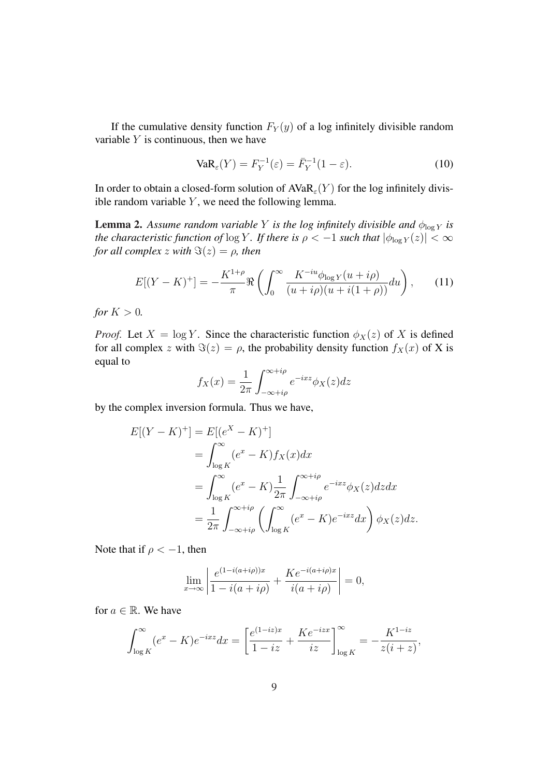If the cumulative density function  $F_Y(y)$  of a log infinitely divisible random variable  $Y$  is continuous, then we have

$$
VaR_{\varepsilon}(Y) = F_Y^{-1}(\varepsilon) = \bar{F}_Y^{-1}(1 - \varepsilon).
$$
 (10)

In order to obtain a closed-form solution of  $AVaR_{\varepsilon}(Y)$  for the log infinitely divisible random variable  $Y$ , we need the following lemma.

**Lemma 2.** Assume random variable Y is the log infinitely divisible and  $\phi_{\log Y}$  is *the characteristic function of*  $\log Y$ *. If there is*  $\rho < -1$  *such that*  $|\phi_{\log Y}(z)| < \infty$ *for all complex*  $z$  *with*  $\Im(z) = \rho$ *, then* 

$$
E[(Y - K)^+] = -\frac{K^{1+\rho}}{\pi} \Re \left( \int_0^\infty \frac{K^{-iu} \phi_{\log Y}(u + i\rho)}{(u + i\rho)(u + i(1+\rho))} du \right), \tag{11}
$$

*for*  $K > 0$ *.* 

*Proof.* Let  $X = \log Y$ . Since the characteristic function  $\phi_X(z)$  of X is defined for all complex z with  $\Im(z) = \rho$ , the probability density function  $f_X(x)$  of X is equal to

$$
f_X(x) = \frac{1}{2\pi} \int_{-\infty + i\rho}^{\infty + i\rho} e^{-ixz} \phi_X(z) dz
$$

by the complex inversion formula. Thus we have,

$$
E[(Y - K)^+] = E[(e^X - K)^+]
$$
  
= 
$$
\int_{\log K}^{\infty} (e^x - K) f_X(x) dx
$$
  
= 
$$
\int_{\log K}^{\infty} (e^x - K) \frac{1}{2\pi} \int_{-\infty + i\rho}^{\infty + i\rho} e^{-ixz} \phi_X(z) dz dx
$$
  
= 
$$
\frac{1}{2\pi} \int_{-\infty + i\rho}^{\infty + i\rho} \left( \int_{\log K}^{\infty} (e^x - K) e^{-ixz} dx \right) \phi_X(z) dz.
$$

Note that if  $\rho < -1$ , then

$$
\lim_{x \to \infty} \left| \frac{e^{(1 - i(a + i\rho))x}}{1 - i(a + i\rho)} + \frac{Ke^{-i(a + i\rho)x}}{i(a + i\rho)} \right| = 0,
$$

for  $a \in \mathbb{R}$ . We have

$$
\int_{\log K}^{\infty} (e^x - K)e^{-ixz} dx = \left[ \frac{e^{(1-iz)x}}{1-iz} + \frac{Ke^{-izx}}{iz} \right]_{\log K}^{\infty} = -\frac{K^{1-iz}}{z(i+z)},
$$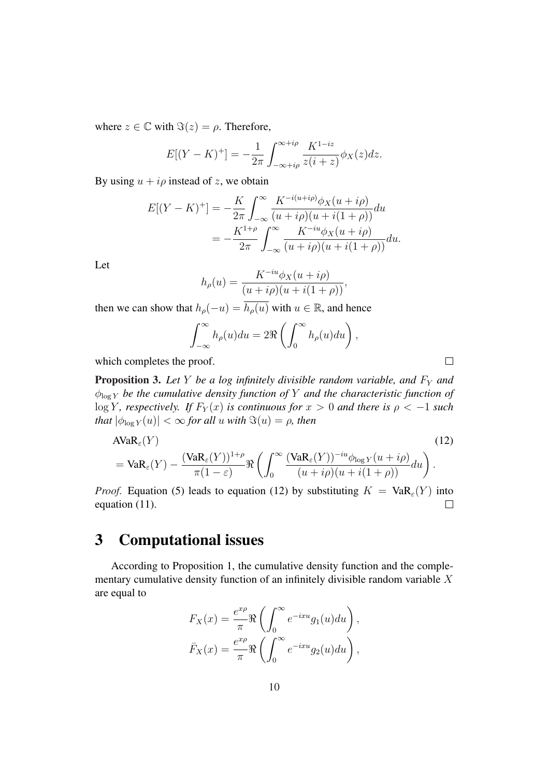where  $z \in \mathbb{C}$  with  $\Im(z) = \rho$ . Therefore,

$$
E[(Y - K)^+] = -\frac{1}{2\pi} \int_{-\infty + i\rho}^{\infty + i\rho} \frac{K^{1 - iz}}{z(i + z)} \phi_X(z) dz.
$$

By using  $u + i\rho$  instead of z, we obtain

$$
E[(Y - K)^+] = -\frac{K}{2\pi} \int_{-\infty}^{\infty} \frac{K^{-i(u+i\rho)}\phi_X(u+i\rho)}{(u+i\rho)(u+i(1+\rho))} du
$$
  
=  $-\frac{K^{1+\rho}}{2\pi} \int_{-\infty}^{\infty} \frac{K^{-iu}\phi_X(u+i\rho)}{(u+i\rho)(u+i(1+\rho))} du.$ 

Let

$$
h_{\rho}(u) = \frac{K^{-iu}\phi_X(u+i\rho)}{(u+i\rho)(u+i(1+\rho))},
$$

then we can show that  $h_{\rho}(-u) = \overline{h_{\rho}(u)}$  with  $u \in \mathbb{R}$ , and hence

$$
\int_{-\infty}^{\infty} h_{\rho}(u) du = 2\Re\left(\int_{0}^{\infty} h_{\rho}(u) du\right),
$$

 $\Box$ 

which completes the proof.

**Proposition 3.** Let Y be a log infinitely divisible random variable, and  $F<sub>Y</sub>$  and  $\phi_{\log Y}$  *be the cumulative density function of* Y *and the characteristic function of* log Y, respectively. If  $F_Y(x)$  is continuous for  $x > 0$  and there is  $\rho < -1$  such *that*  $|\phi_{\log Y}(u)| < \infty$  *for all u with*  $\Im(u) = \rho$ *, then* 

$$
\begin{split} \text{AVaR}_{\varepsilon}(Y) &= \text{VaR}_{\varepsilon}(Y) - \frac{(\text{VaR}_{\varepsilon}(Y))^{1+\rho}}{\pi(1-\varepsilon)} \Re \left( \int_0^\infty \frac{(\text{VaR}_{\varepsilon}(Y))^{-iu} \phi_{\log Y}(u+i\rho)}{(u+i\rho)(u+i(1+\rho))} du \right). \end{split} \tag{12}
$$

*Proof.* Equation (5) leads to equation (12) by substituting  $K = VaR_{\epsilon}(Y)$  into equation (11).  $\Box$ 

# 3 Computational issues

According to Proposition 1, the cumulative density function and the complementary cumulative density function of an infinitely divisible random variable X are equal to

$$
F_X(x) = \frac{e^{x\rho}}{\pi} \Re \left( \int_0^\infty e^{-ixu} g_1(u) du \right),
$$
  

$$
\bar{F}_X(x) = \frac{e^{x\rho}}{\pi} \Re \left( \int_0^\infty e^{-ixu} g_2(u) du \right),
$$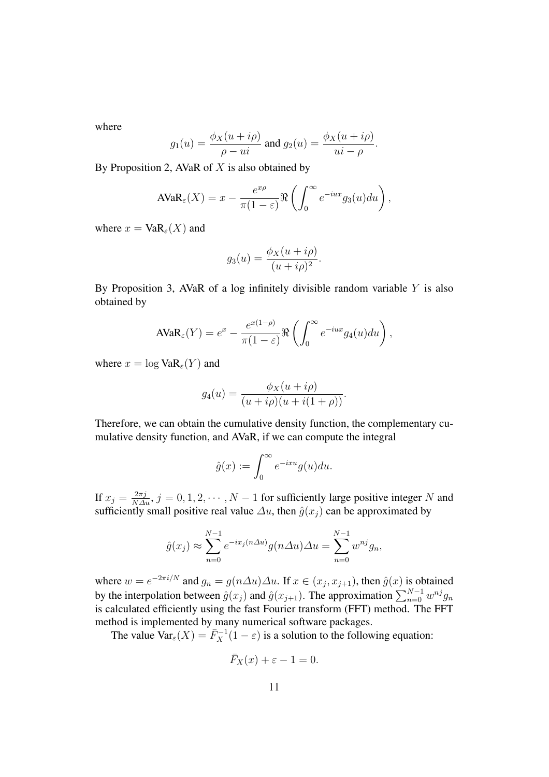where

$$
g_1(u) = \frac{\phi_X(u + i\rho)}{\rho - ui}
$$
 and 
$$
g_2(u) = \frac{\phi_X(u + i\rho)}{ui - \rho}.
$$

By Proposition 2, AVaR of  $X$  is also obtained by

$$
\text{AVaR}_{\varepsilon}(X) = x - \frac{e^{x\rho}}{\pi(1-\varepsilon)} \Re \left( \int_0^\infty e^{-iux} g_3(u) du \right),
$$

where  $x = VaR_{\epsilon}(X)$  and

$$
g_3(u) = \frac{\phi_X(u + i\rho)}{(u + i\rho)^2}.
$$

By Proposition 3, AVaR of a log infinitely divisible random variable  $Y$  is also obtained by

$$
\text{AVaR}_{\varepsilon}(Y) = e^x - \frac{e^{x(1-\rho)}}{\pi(1-\varepsilon)} \Re \left( \int_0^\infty e^{-iux} g_4(u) du \right),
$$

where  $x = \log \text{VaR}_{\epsilon}(Y)$  and

$$
g_4(u) = \frac{\phi_X(u + i\rho)}{(u + i\rho)(u + i(1 + \rho))}.
$$

Therefore, we can obtain the cumulative density function, the complementary cumulative density function, and AVaR, if we can compute the integral

$$
\hat{g}(x) := \int_0^\infty e^{-ixu} g(u) du.
$$

If  $x_j = \frac{2\pi j}{N\Delta u}, j = 0, 1, 2, \cdots, N-1$  for sufficiently large positive integer N and sufficiently small positive real value  $\Delta u$ , then  $\hat{q}(x_i)$  can be approximated by

$$
\hat{g}(x_j) \approx \sum_{n=0}^{N-1} e^{-ix_j(n\Delta u)} g(n\Delta u) \Delta u = \sum_{n=0}^{N-1} w^{nj} g_n,
$$

where  $w = e^{-2\pi i/N}$  and  $g_n = g(n\Delta u)\Delta u$ . If  $x \in (x_j, x_{j+1})$ , then  $\hat{g}(x)$  is obtained by the interpolation between  $\hat{g}(x_j)$  and  $\hat{g}(x_{j+1})$ . The approximation  $\sum_{n=0}^{N-1} w^{nj} g_n$ is calculated efficiently using the fast Fourier transform (FFT) method. The FFT method is implemented by many numerical software packages.

The value  $\text{Var}_{\varepsilon}(X) = \overline{F}_X^{-1}(1-\varepsilon)$  is a solution to the following equation:

$$
\bar{F}_X(x) + \varepsilon - 1 = 0.
$$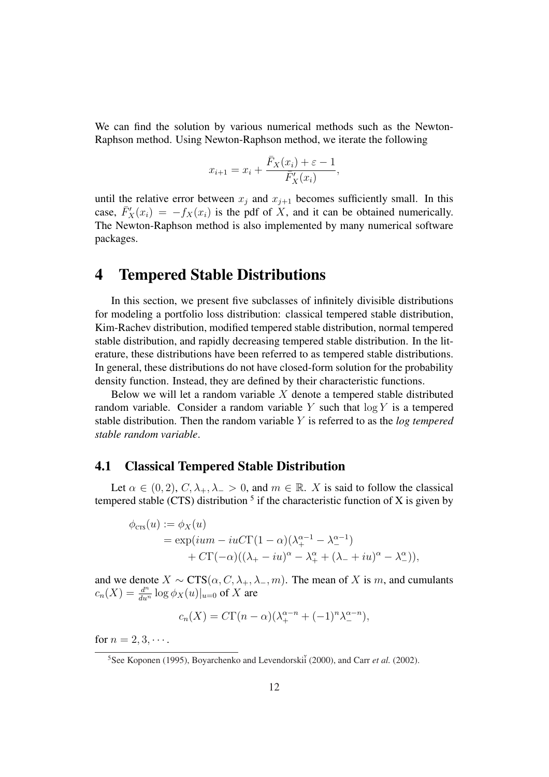We can find the solution by various numerical methods such as the Newton-Raphson method. Using Newton-Raphson method, we iterate the following

$$
x_{i+1} = x_i + \frac{\bar{F}_X(x_i) + \varepsilon - 1}{\bar{F}_X'(x_i)},
$$

until the relative error between  $x_i$  and  $x_{i+1}$  becomes sufficiently small. In this case,  $\overline{F}_X'(x_i) = -f_X(x_i)$  is the pdf of X, and it can be obtained numerically. The Newton-Raphson method is also implemented by many numerical software packages.

### 4 Tempered Stable Distributions

In this section, we present five subclasses of infinitely divisible distributions for modeling a portfolio loss distribution: classical tempered stable distribution, Kim-Rachev distribution, modified tempered stable distribution, normal tempered stable distribution, and rapidly decreasing tempered stable distribution. In the literature, these distributions have been referred to as tempered stable distributions. In general, these distributions do not have closed-form solution for the probability density function. Instead, they are defined by their characteristic functions.

Below we will let a random variable  $X$  denote a tempered stable distributed random variable. Consider a random variable  $Y$  such that  $\log Y$  is a tempered stable distribution. Then the random variable Y is referred to as the *log tempered stable random variable*.

### 4.1 Classical Tempered Stable Distribution

Let  $\alpha \in (0, 2), C, \lambda_+, \lambda_- > 0$ , and  $m \in \mathbb{R}$ . X is said to follow the classical tempered stable (CTS) distribution  $<sup>5</sup>$  if the characteristic function of X is given by</sup>

$$
\phi_{\text{crs}}(u) := \phi_X(u)
$$
  
=  $\exp(ium - iu C \Gamma(1 - \alpha)(\lambda_+^{\alpha - 1} - \lambda_-^{\alpha - 1})$   
+  $C \Gamma(-\alpha)((\lambda_+ - iu)^{\alpha} - \lambda_+^{\alpha} + (\lambda_- + iu)^{\alpha} - \lambda_-^{\alpha})),$ 

and we denote  $X \sim \text{CTS}(\alpha, C, \lambda_+, \lambda_-, m)$ . The mean of X is m, and cumulants  $c_n(X) = \frac{d^n}{du^n} \log \phi_X(u)|_{u=0}$  of X are

$$
c_n(X) = C\Gamma(n-\alpha)(\lambda_+^{\alpha-n} + (-1)^n \lambda_-^{\alpha-n}),
$$

for  $n = 2, 3, \cdots$ .

<sup>&</sup>lt;sup>5</sup>See Koponen (1995), Boyarchenko and Levendorski<sup>i</sup> (2000), and Carr *et al.* (2002).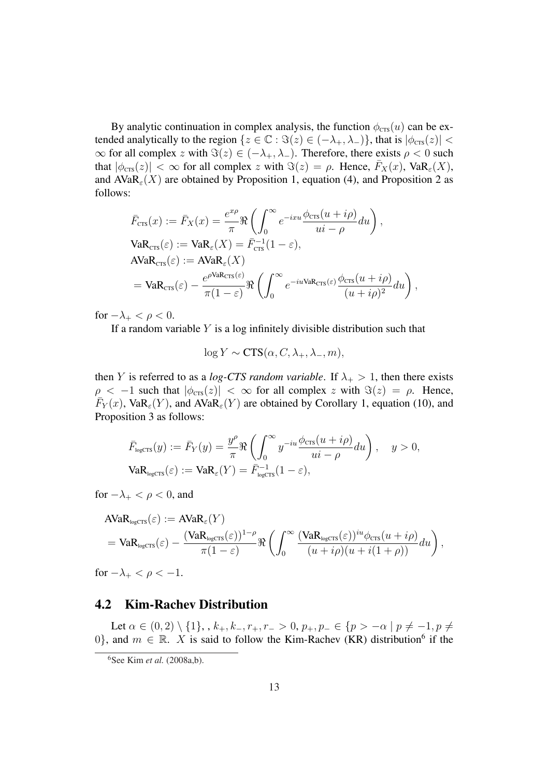By analytic continuation in complex analysis, the function  $\phi_{\text{crs}}(u)$  can be extended analytically to the region  $\{z \in \mathbb{C} : \Im(z) \in (-\lambda_+, \lambda_-)\}\$ , that is  $|\phi_{\text{crs}}(z)| <$  $\infty$  for all complex z with  $\Im(z) \in (-\lambda_+, \lambda_-)$ . Therefore, there exists  $\rho < 0$  such that  $|\phi_{\text{crs}}(z)| < \infty$  for all complex z with  $\Im(z) = \rho$ . Hence,  $\bar{F}_X(x)$ ,  $\text{VaR}_{\varepsilon}(X)$ , and  $AVaR_{\varepsilon}(X)$  are obtained by Proposition 1, equation (4), and Proposition 2 as follows:

$$
\begin{split} \bar{F}_{\text{CTS}}(x) &:= \bar{F}_X(x) = \frac{e^{x\rho}}{\pi} \Re \left( \int_0^\infty e^{-ixu} \frac{\phi_{\text{CTS}}(u+i\rho)}{ui-\rho} du \right), \\ \text{VaR}_{\text{crs}}(\varepsilon) &:= \text{VaR}_{\varepsilon}(X) = \bar{F}_{\text{crs}}^{-1} (1-\varepsilon), \\ \text{AVaR}_{\text{crs}}(\varepsilon) &:= \text{AVaR}_{\varepsilon}(X) \\ &= \text{VaR}_{\text{crs}}(\varepsilon) - \frac{e^{\rho \text{VaR}_{\text{crs}}(\varepsilon)}}{\pi (1-\varepsilon)} \Re \left( \int_0^\infty e^{-iu\text{VaR}_{\text{crs}}(\varepsilon)} \frac{\phi_{\text{crs}}(u+i\rho)}{(u+i\rho)^2} du \right), \end{split}
$$

for  $-\lambda_+ < \rho < 0$ .

If a random variable  $Y$  is a log infinitely divisible distribution such that

$$
\log Y \sim \text{CTS}(\alpha, C, \lambda_+, \lambda_-, m),
$$

then Y is referred to as a *log-CTS random variable*. If  $\lambda_+ > 1$ , then there exists  $\rho < -1$  such that  $|\phi_{\text{crs}}(z)| < \infty$  for all complex z with  $\Im(z) = \rho$ . Hence,  $\overline{F}_Y(x)$ , Va $\overline{R}_{\varepsilon}(Y)$ , and AVa $\overline{R}_{\varepsilon}(Y)$  are obtained by Corollary 1, equation (10), and Proposition 3 as follows:

$$
\bar{F}_{\text{logCTS}}(y) := \bar{F}_Y(y) = \frac{y^{\rho}}{\pi} \Re \left( \int_0^{\infty} y^{-iu} \frac{\phi_{\text{crs}}(u + i\rho)}{ui - \rho} du \right), \quad y > 0,
$$
  

$$
\text{VaR}_{\text{logcrs}}(\varepsilon) := \text{VaR}_{\varepsilon}(Y) = \bar{F}_{\text{logcrs}}^{-1} (1 - \varepsilon),
$$

for  $-\lambda_+ < \rho < 0$ , and

$$
\begin{split} &\text{AVaR}_{\text{logcrs}}(\varepsilon) := \text{AVaR}_{\varepsilon}(Y) \\ &= \text{VaR}_{\text{logcrs}}(\varepsilon) - \frac{(\text{VaR}_{\text{logcrs}}(\varepsilon))^{1-\rho}}{\pi(1-\varepsilon)} \Re \left( \int_0^\infty \frac{(\text{VaR}_{\text{logcrs}}(\varepsilon))^{iu} \phi_{\text{crs}}(u+i\rho)}{(u+i\rho)(u+i(1+\rho))} du \right), \end{split}
$$

for  $-\lambda_+ < \rho < -1$ .

### 4.2 Kim-Rachev Distribution

Let  $\alpha \in (0, 2) \setminus \{1\}, \, , \, k_+, k_-, r_+, r_- > 0, p_+, p_- \in \{p > -\alpha \mid p \neq -1, p \neq 0\}$ 0, and  $m \in \mathbb{R}$ . X is said to follow the Kim-Rachev (KR) distribution<sup>6</sup> if the

<sup>6</sup>See Kim *et al.* (2008a,b).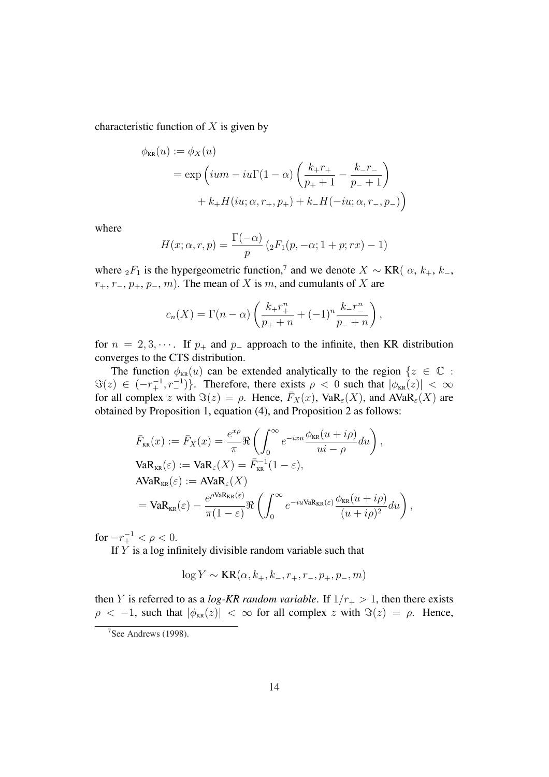characteristic function of  $X$  is given by

$$
\phi_{KR}(u) := \phi_X(u)
$$
  
= exp  $\left( ium - iu\Gamma(1-\alpha) \left( \frac{k_+ r_+}{p_+ + 1} - \frac{k_- r_-}{p_- + 1} \right) + k_+ H(iu; \alpha, r_+, p_+) + k_- H(-iu; \alpha, r_-, p_-) \right)$ 

where

$$
H(x; \alpha, r, p) = \frac{\Gamma(-\alpha)}{p} \left( {}_2F_1(p, -\alpha; 1+p; rx) - 1 \right)
$$

where  ${}_2F_1$  is the hypergeometric function,<sup>7</sup> and we denote  $X \sim KR(\alpha, k_+, k_-, k_+)$  $r_+, r_-, p_+, p_-, m$ . The mean of X is m, and cumulants of X are

$$
c_n(X) = \Gamma(n - \alpha) \left( \frac{k_+ r_+^n}{p_+ + n} + (-1)^n \frac{k_- r_-^n}{p_- + n} \right),
$$

for  $n = 2, 3, \cdots$ . If  $p_+$  and  $p_-$  approach to the infinite, then KR distribution converges to the CTS distribution.

The function  $\phi_{KR}(u)$  can be extended analytically to the region  $\{z \in \mathbb{C} :$  $\Im(z) \in (-r_+^{-1}, r_-^{-1})\}.$  Therefore, there exists  $\rho < 0$  such that  $|\phi_{KR}(z)| < \infty$ for all complex z with  $\Im(z) = \rho$ . Hence,  $\bar{F}_X(x)$ , VaR<sub> $\epsilon$ </sub>(X), and AVaR<sub> $\epsilon$ </sub>(X) are obtained by Proposition 1, equation (4), and Proposition 2 as follows:

$$
\begin{split} \bar{F}_{\text{KR}}(x) &:= \bar{F}_{X}(x) = \frac{e^{x\rho}}{\pi} \Re \left( \int_{0}^{\infty} e^{-ixu} \frac{\phi_{\text{KR}}(u+i\rho)}{u i - \rho} du \right), \\ \text{VaR}_{\text{KR}}(\varepsilon) &:= \text{VaR}_{\varepsilon}(X) = \bar{F}_{\text{KR}}^{-1} (1 - \varepsilon), \\ \text{AVaR}_{\text{KR}}(\varepsilon) &:= \text{AVaR}_{\varepsilon}(X) \\ &= \text{VaR}_{\text{KR}}(\varepsilon) - \frac{e^{\rho \text{VaR}_{\text{KR}}(\varepsilon)}}{\pi (1 - \varepsilon)} \Re \left( \int_{0}^{\infty} e^{-iu \text{VaR}_{\text{KR}}(\varepsilon)} \frac{\phi_{\text{KR}}(u+i\rho)}{(u+i\rho)^2} du \right), \end{split}
$$

for  $-r_+^{-1} < \rho < 0$ .

If  $Y$  is a log infinitely divisible random variable such that

$$
\log Y \sim \text{KR}(\alpha, k_+, k_-, r_+, r_-, p_+, p_-, m)
$$

then Y is referred to as a *log-KR random variable*. If  $1/r_{+} > 1$ , then there exists  $\rho < -1$ , such that  $|\phi_{KR}(z)| < \infty$  for all complex z with  $\Im(z) = \rho$ . Hence,

<sup>7</sup>See Andrews (1998).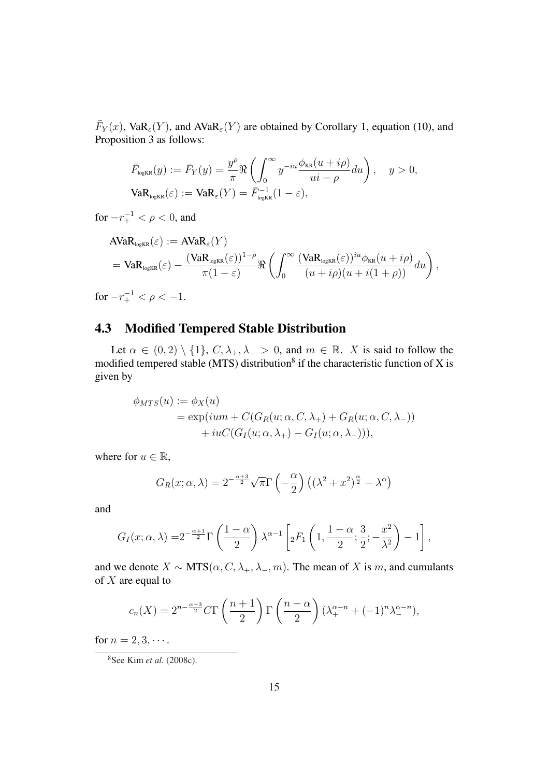$\bar{F}_Y(x)$ , Va $\mathsf{R}_{\varepsilon}(Y)$ , and AVa $\mathsf{R}_{\varepsilon}(Y)$  are obtained by Corollary 1, equation (10), and Proposition 3 as follows:

$$
\bar{F}_{\text{logKR}}(y) := \bar{F}_Y(y) = \frac{y^{\rho}}{\pi} \Re \left( \int_0^{\infty} y^{-iu} \frac{\phi_{\text{KR}}(u + i\rho)}{ui - \rho} du \right), \quad y > 0,
$$
  

$$
\text{VaR}_{\text{logKR}}(\varepsilon) := \text{VaR}_{\varepsilon}(Y) = \bar{F}_{\text{logKR}}^{-1} (1 - \varepsilon),
$$

for  $-r_+^{-1} < \rho < 0$ , and

$$
\begin{split} &\text{AVaR}_{\text{logKR}}(\varepsilon) := \text{AVaR}_{\varepsilon}(Y) \\ &= \text{VaR}_{\text{logKR}}(\varepsilon) - \frac{(\text{VaR}_{\text{logKR}}(\varepsilon))^{1-\rho}}{\pi(1-\varepsilon)} \Re \left( \int_0^\infty \frac{(\text{VaR}_{\text{logKR}}(\varepsilon))^{iu} \phi_{\text{KR}}(u+i\rho)}{(u+i\rho)(u+i(1+\rho))} du \right), \\ & = 1, \end{split}
$$

for  $-r_+^{-1} < \rho < -1$ .

### 4.3 Modified Tempered Stable Distribution

Let  $\alpha \in (0, 2) \setminus \{1\}$ ,  $C, \lambda_+, \lambda_- > 0$ , and  $m \in \mathbb{R}$ . X is said to follow the modified tempered stable (MTS) distribution<sup>8</sup> if the characteristic function of X is given by

$$
\phi_{MTS}(u) := \phi_X(u)
$$
  
=  $\exp(ium + C(G_R(u; \alpha, C, \lambda_+) + G_R(u; \alpha, C, \lambda_-))$   
+  $iuC(G_I(u; \alpha, \lambda_+) - G_I(u; \alpha, \lambda_-))),$ 

where for  $u \in \mathbb{R}$ ,

$$
G_R(x; \alpha, \lambda) = 2^{-\frac{\alpha+3}{2}} \sqrt{\pi} \Gamma\left(-\frac{\alpha}{2}\right) \left((\lambda^2 + x^2)^{\frac{\alpha}{2}} - \lambda^{\alpha}\right)
$$

and

$$
G_I(x; \alpha, \lambda) = 2^{-\frac{\alpha+1}{2}} \Gamma\left(\frac{1-\alpha}{2}\right) \lambda^{\alpha-1} \left[{}_2F_1\left(1, \frac{1-\alpha}{2}; \frac{3}{2}; -\frac{x^2}{\lambda^2}\right) - 1\right],
$$

and we denote  $X \sim \text{MTS}(\alpha, C, \lambda_+, \lambda_-, m)$ . The mean of X is m, and cumulants of  $X$  are equal to

$$
c_n(X) = 2^{n - \frac{\alpha+3}{2}} C \Gamma\left(\frac{n+1}{2}\right) \Gamma\left(\frac{n-\alpha}{2}\right) (\lambda_+^{\alpha-n} + (-1)^n \lambda_-^{\alpha-n}),
$$

for  $n = 2, 3, \cdots$ .

<sup>8</sup>See Kim *et al.* (2008c).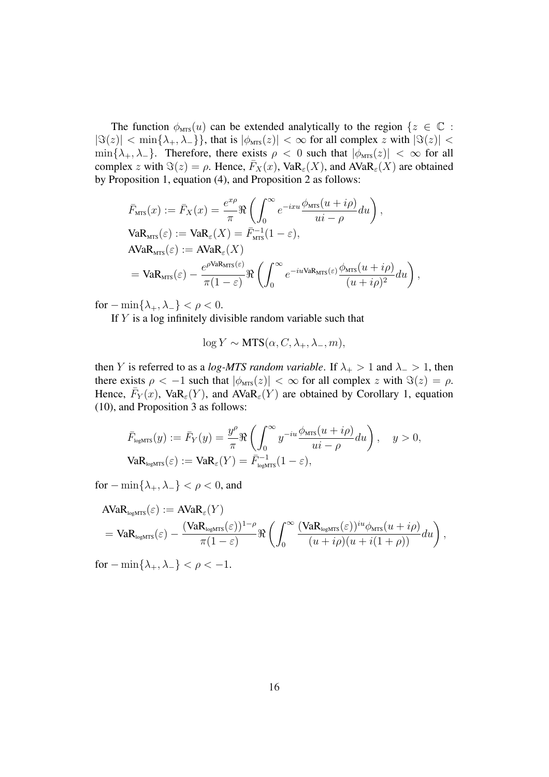The function  $\phi_{MTS}(u)$  can be extended analytically to the region  $\{z \in \mathbb{C} :$  $|\Im(z)| < \min\{\lambda_+, \lambda_-\}\}\$ , that is  $|\phi_{\text{MTS}}(z)| < \infty$  for all complex z with  $|\Im(z)| <$  $\min\{\lambda_+, \lambda_-\}$ . Therefore, there exists  $\rho < 0$  such that  $|\phi_{\text{MTS}}(z)| < \infty$  for all complex z with  $\Im(z) = \rho$ . Hence,  $\bar{F}_X(x)$ , VaR<sub>ε</sub>(X), and AVaR<sub>ε</sub>(X) are obtained by Proposition 1, equation (4), and Proposition 2 as follows:

$$
\begin{split} \bar{F}_{\text{MTS}}(x) &:= \bar{F}_X(x) = \frac{e^{x\rho}}{\pi} \Re \left( \int_0^\infty e^{-ixu} \frac{\phi_{\text{MTS}}(u+i\rho)}{ui-\rho} du \right), \\ \text{VaR}_{\text{MTS}}(\varepsilon) &:= \text{VaR}_{\varepsilon}(X) = \bar{F}_{\text{MTS}}^{-1}(1-\varepsilon), \\ \text{AVaR}_{\text{MTS}}(\varepsilon) &:= \text{AVaR}_{\varepsilon}(X) \\ &= \text{VaR}_{\text{MTS}}(\varepsilon) - \frac{e^{\rho \text{VaR}_{\text{MTS}}(\varepsilon)}}{\pi(1-\varepsilon)} \Re \left( \int_0^\infty e^{-iu\text{VaR}_{\text{MTS}}(\varepsilon)} \frac{\phi_{\text{MTS}}(u+i\rho)}{(u+i\rho)^2} du \right), \end{split}
$$

for  $-\min\{\lambda_+, \lambda_-\} < \rho < 0$ .

If  $Y$  is a log infinitely divisible random variable such that

$$
\log Y \sim \text{MTS}(\alpha, C, \lambda_+, \lambda_-, m),
$$

then Y is referred to as a *log-MTS random variable*. If  $\lambda_+ > 1$  and  $\lambda_- > 1$ , then there exists  $\rho < -1$  such that  $|\phi_{\text{MTS}}(z)| < \infty$  for all complex z with  $\Im(z) = \rho$ . Hence,  $\bar{F}_Y(x)$ , Va $\mathsf{R}_{\varepsilon}(Y)$ , and  $\widehat{\text{AVaR}}_{\varepsilon}(Y)$  are obtained by Corollary 1, equation (10), and Proposition 3 as follows:

$$
\bar{F}_{\text{logMTS}}(y) := \bar{F}_Y(y) = \frac{y^{\rho}}{\pi} \Re \left( \int_0^{\infty} y^{-iu} \frac{\phi_{\text{MTS}}(u + i\rho)}{ui - \rho} du \right), \quad y > 0,
$$
  

$$
\text{VaR}_{\text{logMTS}}(\varepsilon) := \text{VaR}_{\varepsilon}(Y) = \bar{F}_{\text{logMTS}}^{-1}(1 - \varepsilon),
$$

for  $-\min\{\lambda_+, \lambda_-\} < \rho < 0$ , and

$$
\begin{split} &\text{AVaR}_{\text{logMTS}}(\varepsilon) := \text{AVaR}_{\varepsilon}(Y) \\ &= \text{VaR}_{\text{logMTS}}(\varepsilon) - \frac{(\text{VaR}_{\text{logMTS}}(\varepsilon))^{1-\rho}}{\pi(1-\varepsilon)} \Re \left( \int_0^\infty \frac{(\text{VaR}_{\text{logMTS}}(\varepsilon))^{iu} \phi_{\text{MTS}}(u+i\rho)}{(u+i\rho)(u+i(1+\rho))} du \right), \end{split}
$$

for  $-\min\{\lambda_+, \lambda_-\} < \rho < -1$ .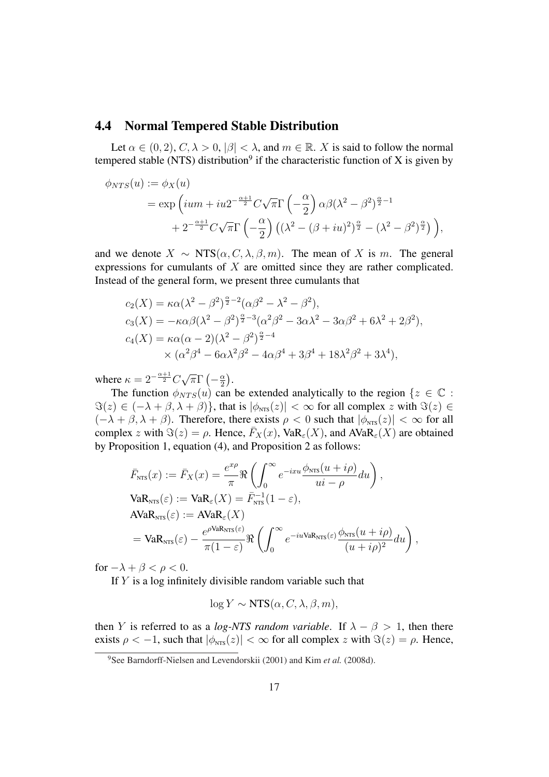### 4.4 Normal Tempered Stable Distribution

Let  $\alpha \in (0, 2), C, \lambda > 0, |\beta| < \lambda$ , and  $m \in \mathbb{R}$ . X is said to follow the normal tempered stable (NTS) distribution<sup>9</sup> if the characteristic function of X is given by

$$
\phi_{NTS}(u) := \phi_X(u)
$$
  
=  $\exp\left(ium + iu2^{-\frac{\alpha+1}{2}}C\sqrt{\pi}\Gamma\left(-\frac{\alpha}{2}\right)\alpha\beta(\lambda^2 - \beta^2)^{\frac{\alpha}{2}-1} + 2^{-\frac{\alpha+1}{2}}C\sqrt{\pi}\Gamma\left(-\frac{\alpha}{2}\right)\left((\lambda^2 - (\beta + iu)^2)^{\frac{\alpha}{2}} - (\lambda^2 - \beta^2)^{\frac{\alpha}{2}}\right)\right),$ 

and we denote  $X \sim \text{NTS}(\alpha, C, \lambda, \beta, m)$ . The mean of X is m. The general expressions for cumulants of X are omitted since they are rather complicated. Instead of the general form, we present three cumulants that

$$
c_2(X) = \kappa \alpha (\lambda^2 - \beta^2)^{\frac{\alpha}{2} - 2} (\alpha \beta^2 - \lambda^2 - \beta^2),
$$
  
\n
$$
c_3(X) = -\kappa \alpha \beta (\lambda^2 - \beta^2)^{\frac{\alpha}{2} - 3} (\alpha^2 \beta^2 - 3\alpha \lambda^2 - 3\alpha \beta^2 + 6\lambda^2 + 2\beta^2),
$$
  
\n
$$
c_4(X) = \kappa \alpha (\alpha - 2)(\lambda^2 - \beta^2)^{\frac{\alpha}{2} - 4}
$$
  
\n
$$
\times (\alpha^2 \beta^4 - 6\alpha \lambda^2 \beta^2 - 4\alpha \beta^4 + 3\beta^4 + 18\lambda^2 \beta^2 + 3\lambda^4),
$$

where  $\kappa = 2^{-\frac{\alpha+1}{2}}C$ √  $\overline{\pi} \Gamma$ ¡  $-\frac{\alpha}{2}$ 2 ¢ .

The function  $\phi_{NTS}(u)$  can be extended analytically to the region  $\{z \in \mathbb{C} :$  $\Im(z) \in (-\lambda + \beta, \lambda + \beta)$ , that is  $|\phi_{NTS}(z)| < \infty$  for all complex z with  $\Im(z) \in$  $(-\lambda + \beta, \lambda + \beta)$ . Therefore, there exists  $\rho < 0$  such that  $|\phi_{NTS}(z)| < \infty$  for all complex z with  $\Im(z) = \rho$ . Hence,  $\bar{F}_X(x)$ , VaR<sub>ε</sub>(X), and AVaR<sub>ε</sub>(X) are obtained by Proposition 1, equation (4), and Proposition 2 as follows:

$$
\begin{split} \bar{F}_{\text{NTS}}(x) &:= \bar{F}_X(x) = \frac{e^{x\rho}}{\pi} \Re \left( \int_0^\infty e^{-ixu} \frac{\phi_{\text{NTS}}(u+i\rho)}{ui-\rho} du \right), \\ \text{VaR}_{\text{NTS}}(\varepsilon) &:= \text{VaR}_{\varepsilon}(X) = \bar{F}_{\text{NTS}}^{-1}(1-\varepsilon), \\ \text{AVaR}_{\text{NTS}}(\varepsilon) &:= \text{AVaR}_{\varepsilon}(X) \\ &= \text{VaR}_{\text{NTS}}(\varepsilon) - \frac{e^{\rho \text{VaR}_{\text{NTS}}(\varepsilon)}}{\pi(1-\varepsilon)} \Re \left( \int_0^\infty e^{-iu\text{VaR}_{\text{NTS}}(\varepsilon)} \frac{\phi_{\text{NTS}}(u+i\rho)}{(u+i\rho)^2} du \right), \end{split}
$$

for  $-\lambda + \beta < \rho < 0$ .

If  $Y$  is a log infinitely divisible random variable such that

$$
\log Y \sim \text{NTS}(\alpha, C, \lambda, \beta, m),
$$

then Y is referred to as a *log-NTS random variable*. If  $\lambda - \beta > 1$ , then there exists  $\rho < -1$ , such that  $|\phi_{NTS}(z)| < \infty$  for all complex z with  $\Im(z) = \rho$ . Hence,

<sup>9</sup>See Barndorff-Nielsen and Levendorskii (2001) and Kim *et al.* (2008d).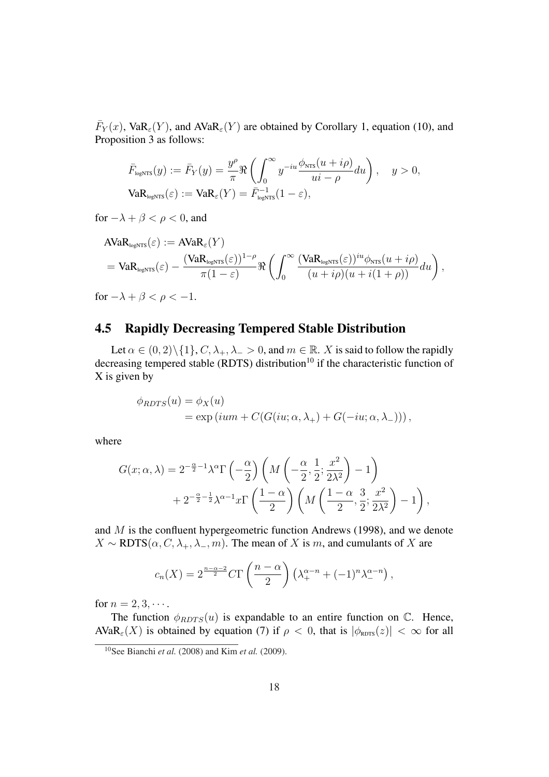$\bar{F}_Y(x)$ , Va $\mathsf{R}_{\varepsilon}(Y)$ , and AVa $\mathsf{R}_{\varepsilon}(Y)$  are obtained by Corollary 1, equation (10), and Proposition 3 as follows:

$$
\bar{F}_{\text{logNTS}}(y) := \bar{F}_Y(y) = \frac{y^{\rho}}{\pi} \Re \left( \int_0^{\infty} y^{-iu} \frac{\phi_{\text{NTS}}(u + i\rho)}{ui - \rho} du \right), \quad y > 0,
$$
  

$$
\text{VaR}_{\text{logNTS}}(\varepsilon) := \text{VaR}_{\varepsilon}(Y) = \bar{F}_{\text{logNTS}}^{-1}(1 - \varepsilon),
$$

for  $-\lambda + \beta < \rho < 0$ , and

$$
\begin{split} &\text{AVaR}_{\text{logNTS}}(\varepsilon) := \text{AVaR}_{\varepsilon}(Y) \\ &= \text{VaR}_{\text{logNTS}}(\varepsilon) - \frac{(\text{VaR}_{\text{logNTS}}(\varepsilon))^{1-\rho}}{\pi(1-\varepsilon)} \Re \left( \int_0^\infty \frac{(\text{VaR}_{\text{logNTS}}(\varepsilon))^{iu} \phi_{\text{NTS}}(u+i\rho)}{(u+i\rho)(u+i(1+\rho))} du \right), \end{split}
$$

for  $-\lambda + \beta < \rho < -1$ .

### 4.5 Rapidly Decreasing Tempered Stable Distribution

Let  $\alpha \in (0, 2) \setminus \{1\}, C, \lambda_+, \lambda_- > 0$ , and  $m \in \mathbb{R}$ . X is said to follow the rapidly decreasing tempered stable (RDTS) distribution<sup>10</sup> if the characteristic function of X is given by

$$
\phi_{RDFS}(u) = \phi_X(u)
$$
  
=  $\exp(ium + C(G(iu; \alpha, \lambda_+) + G(-iu; \alpha, \lambda_-)))$ ,

where

$$
G(x; \alpha, \lambda) = 2^{-\frac{\alpha}{2}-1} \lambda^{\alpha} \Gamma\left(-\frac{\alpha}{2}\right) \left(M\left(-\frac{\alpha}{2}, \frac{1}{2}; \frac{x^2}{2\lambda^2}\right) - 1\right) + 2^{-\frac{\alpha}{2}-\frac{1}{2}} \lambda^{\alpha-1} x \Gamma\left(\frac{1-\alpha}{2}\right) \left(M\left(\frac{1-\alpha}{2}, \frac{3}{2}; \frac{x^2}{2\lambda^2}\right) - 1\right),
$$

and  $M$  is the confluent hypergeometric function Andrews (1998), and we denote  $X \sim \text{ROTS}(\alpha, C, \lambda_+, \lambda_-, m)$ . The mean of X is m, and cumulants of X are

$$
c_n(X) = 2^{\frac{n-\alpha-2}{2}} C \Gamma\left(\frac{n-\alpha}{2}\right) \left(\lambda_+^{\alpha-n} + (-1)^n \lambda_-^{\alpha-n}\right),
$$

for  $n = 2, 3, \cdots$ .

The function  $\phi_{RDTS}(u)$  is expandable to an entire function on  $\mathbb{C}$ . Hence,  $AVaR_{\varepsilon}(X)$  is obtained by equation (7) if  $\rho < 0$ , that is  $|\phi_{RDFS}(z)| < \infty$  for all

<sup>10</sup>See Bianchi *et al.* (2008) and Kim *et al.* (2009).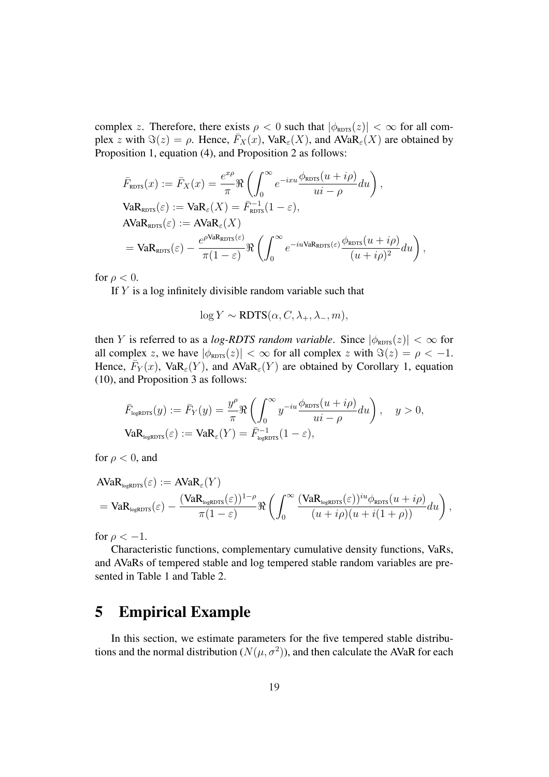complex z. Therefore, there exists  $\rho < 0$  such that  $|\phi_{\text{RDFS}}(z)| < \infty$  for all complex z with  $\Im(z) = \rho$ . Hence,  $\overline{F}_X(x)$ , Va $\overline{R}_{\varepsilon}(X)$ , and AVa $\overline{R}_{\varepsilon}(X)$  are obtained by Proposition 1, equation (4), and Proposition 2 as follows:

$$
\begin{split} \bar{F}_{\text{RDFS}}(x) &:= \bar{F}_X(x) = \frac{e^{x\rho}}{\pi} \Re \left( \int_0^\infty e^{-ixu} \frac{\phi_{\text{RDFS}}(u + i\rho)}{ui - \rho} du \right), \\ \text{VaR}_{\text{RDFS}}(\varepsilon) &:= \text{VaR}_{\varepsilon}(X) = \bar{F}_{\text{RDFS}}^{-1}(1 - \varepsilon), \\ \text{AVaR}_{\text{RDFS}}(\varepsilon) &:= \text{AVaR}_{\varepsilon}(X) \\ &= \text{VaR}_{\text{RDFS}}(\varepsilon) - \frac{e^{\rho \text{VaR}_{\text{RDFS}}(\varepsilon)}}{\pi(1 - \varepsilon)} \Re \left( \int_0^\infty e^{-iu\text{VaR}_{\text{RDFS}}(\varepsilon)} \frac{\phi_{\text{RDFS}}(u + i\rho)}{(u + i\rho)^2} du \right), \end{split}
$$

for  $\rho < 0$ .

If  $Y$  is a log infinitely divisible random variable such that

 $\log Y \sim \text{ROTS}(\alpha, C, \lambda_+, \lambda_-, m),$ 

then Y is referred to as a *log-RDTS random variable*. Since  $|\phi_{RDFS}(z)| < \infty$  for all complex z, we have  $|\phi_{\text{RDFS}}(z)| < \infty$  for all complex z with  $\Im(z) = \rho < -1$ . Hence,  $\overline{F}_Y(x)$ , Va $\mathbf{R}_{\varepsilon}(Y)$ , and  $\overline{A} \text{VaR}_{\varepsilon}(Y)$  are obtained by Corollary 1, equation (10), and Proposition 3 as follows:

$$
\bar{F}_{\text{logRDFS}}(y) := \bar{F}_Y(y) = \frac{y^{\rho}}{\pi} \Re \left( \int_0^{\infty} y^{-iu} \frac{\phi_{\text{RDFS}}(u + i\rho)}{ui - \rho} du \right), \quad y > 0,
$$
  

$$
\text{VaR}_{\text{logRDFS}}(\varepsilon) := \text{VaR}_{\varepsilon}(Y) = \bar{F}_{\text{logRDFS}}^{-1} (1 - \varepsilon),
$$

for  $\rho < 0$ , and

$$
\begin{split} &\text{AVaR}_{\text{logRDFS}}(\varepsilon) := \text{AVaR}_{\varepsilon}(Y) \\ &= \text{VaR}_{\text{logRDFS}}(\varepsilon) - \frac{(\text{VaR}_{\text{logRDFS}}(\varepsilon))^{1-\rho}}{\pi(1-\varepsilon)} \Re \left( \int_0^\infty \frac{(\text{VaR}_{\text{logRDFS}}(\varepsilon))^{iu} \phi_{\text{RDFS}}(u+i\rho)}{(u+i\rho)(u+i(1+\rho))} du \right), \end{split}
$$

for  $\rho < -1$ .

Characteristic functions, complementary cumulative density functions, VaRs, and AVaRs of tempered stable and log tempered stable random variables are presented in Table 1 and Table 2.

# 5 Empirical Example

In this section, we estimate parameters for the five tempered stable distributions and the normal distribution ( $N(\mu, \sigma^2)$ ), and then calculate the AVaR for each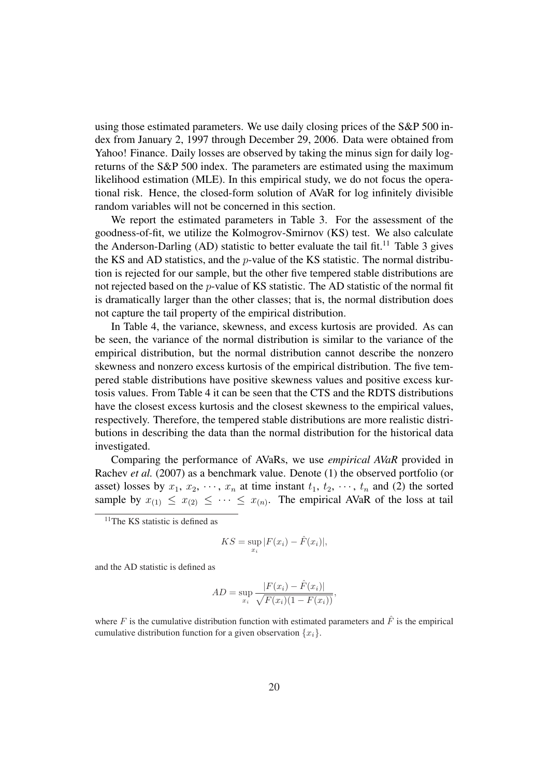using those estimated parameters. We use daily closing prices of the S&P 500 index from January 2, 1997 through December 29, 2006. Data were obtained from Yahoo! Finance. Daily losses are observed by taking the minus sign for daily logreturns of the S&P 500 index. The parameters are estimated using the maximum likelihood estimation (MLE). In this empirical study, we do not focus the operational risk. Hence, the closed-form solution of AVaR for log infinitely divisible random variables will not be concerned in this section.

We report the estimated parameters in Table 3. For the assessment of the goodness-of-fit, we utilize the Kolmogrov-Smirnov (KS) test. We also calculate the Anderson-Darling (AD) statistic to better evaluate the tail fit.<sup>11</sup> Table 3 gives the KS and AD statistics, and the p-value of the KS statistic. The normal distribution is rejected for our sample, but the other five tempered stable distributions are not rejected based on the p-value of KS statistic. The AD statistic of the normal fit is dramatically larger than the other classes; that is, the normal distribution does not capture the tail property of the empirical distribution.

In Table 4, the variance, skewness, and excess kurtosis are provided. As can be seen, the variance of the normal distribution is similar to the variance of the empirical distribution, but the normal distribution cannot describe the nonzero skewness and nonzero excess kurtosis of the empirical distribution. The five tempered stable distributions have positive skewness values and positive excess kurtosis values. From Table 4 it can be seen that the CTS and the RDTS distributions have the closest excess kurtosis and the closest skewness to the empirical values, respectively. Therefore, the tempered stable distributions are more realistic distributions in describing the data than the normal distribution for the historical data investigated.

Comparing the performance of AVaRs, we use *empirical AVaR* provided in Rachev *et al.* (2007) as a benchmark value. Denote (1) the observed portfolio (or asset) losses by  $x_1, x_2, \dots, x_n$  at time instant  $t_1, t_2, \dots, t_n$  and (2) the sorted sample by  $x_{(1)} \leq x_{(2)} \leq \cdots \leq x_{(n)}$ . The empirical AVaR of the loss at tail

$$
KS = \sup_{x_i} |F(x_i) - \hat{F}(x_i)|,
$$

and the AD statistic is defined as

$$
AD = \sup_{x_i} \frac{|F(x_i) - \hat{F}(x_i)|}{\sqrt{F(x_i)(1 - F(x_i))}},
$$

where F is the cumulative distribution function with estimated parameters and  $\hat{F}$  is the empirical cumulative distribution function for a given observation  $\{x_i\}$ .

 $11$ The KS statistic is defined as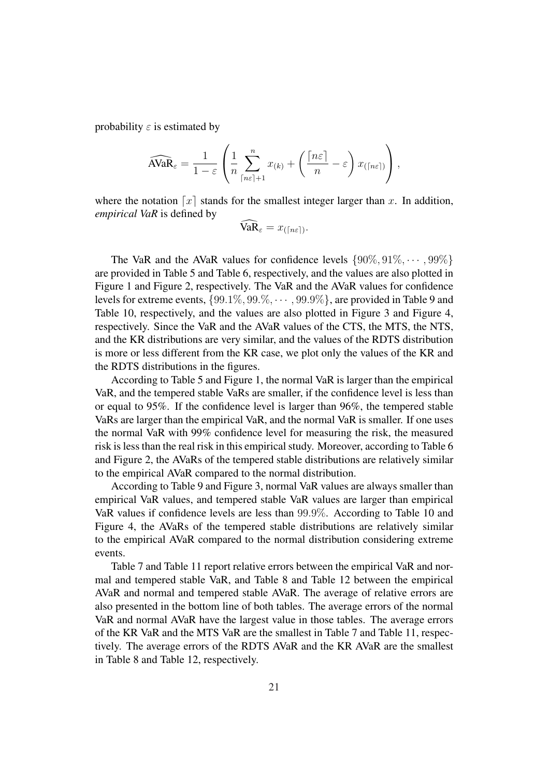probability  $\varepsilon$  is estimated by

$$
\widehat{\text{AVaR}}_{\varepsilon} = \frac{1}{1-\varepsilon} \left( \frac{1}{n} \sum_{\lceil n\varepsilon \rceil + 1}^{n} x_{(k)} + \left( \frac{\lceil n\varepsilon \rceil}{n} - \varepsilon \right) x_{(\lceil n\varepsilon \rceil)} \right),
$$

where the notation  $\lceil x \rceil$  stands for the smallest integer larger than x. In addition, *empirical VaR* is defined by

$$
\widehat{\text{VaR}}_{\varepsilon} = x_{(\lceil n\varepsilon \rceil)}.
$$

The VaR and the AVaR values for confidence levels  $\{90\%, 91\%, \cdots, 99\%\}$ are provided in Table 5 and Table 6, respectively, and the values are also plotted in Figure 1 and Figure 2, respectively. The VaR and the AVaR values for confidence levels for extreme events,  $\{99.1\%, 99.\%, \dots, 99.9\%\}$ , are provided in Table 9 and Table 10, respectively, and the values are also plotted in Figure 3 and Figure 4, respectively. Since the VaR and the AVaR values of the CTS, the MTS, the NTS, and the KR distributions are very similar, and the values of the RDTS distribution is more or less different from the KR case, we plot only the values of the KR and the RDTS distributions in the figures.

According to Table 5 and Figure 1, the normal VaR is larger than the empirical VaR, and the tempered stable VaRs are smaller, if the confidence level is less than or equal to 95%. If the confidence level is larger than 96%, the tempered stable VaRs are larger than the empirical VaR, and the normal VaR is smaller. If one uses the normal VaR with 99% confidence level for measuring the risk, the measured risk is less than the real risk in this empirical study. Moreover, according to Table 6 and Figure 2, the AVaRs of the tempered stable distributions are relatively similar to the empirical AVaR compared to the normal distribution.

According to Table 9 and Figure 3, normal VaR values are always smaller than empirical VaR values, and tempered stable VaR values are larger than empirical VaR values if confidence levels are less than 99.9%. According to Table 10 and Figure 4, the AVaRs of the tempered stable distributions are relatively similar to the empirical AVaR compared to the normal distribution considering extreme events.

Table 7 and Table 11 report relative errors between the empirical VaR and normal and tempered stable VaR, and Table 8 and Table 12 between the empirical AVaR and normal and tempered stable AVaR. The average of relative errors are also presented in the bottom line of both tables. The average errors of the normal VaR and normal AVaR have the largest value in those tables. The average errors of the KR VaR and the MTS VaR are the smallest in Table 7 and Table 11, respectively. The average errors of the RDTS AVaR and the KR AVaR are the smallest in Table 8 and Table 12, respectively.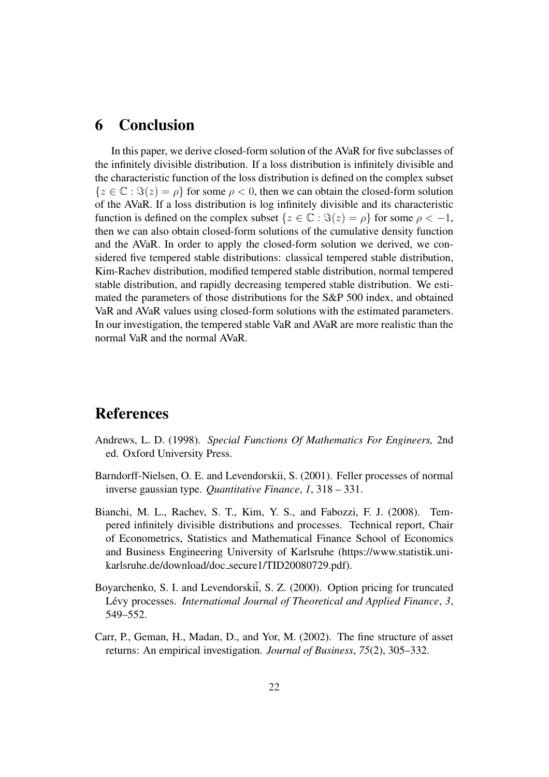# 6 Conclusion

In this paper, we derive closed-form solution of the AVaR for five subclasses of the infinitely divisible distribution. If a loss distribution is infinitely divisible and the characteristic function of the loss distribution is defined on the complex subset  ${z \in \mathbb{C} : \Im(z) = \rho}$  for some  $\rho < 0$ , then we can obtain the closed-form solution of the AVaR. If a loss distribution is log infinitely divisible and its characteristic function is defined on the complex subset  $\{z \in \mathbb{C} : \Im(z) = \rho\}$  for some  $\rho < -1$ , then we can also obtain closed-form solutions of the cumulative density function and the AVaR. In order to apply the closed-form solution we derived, we considered five tempered stable distributions: classical tempered stable distribution, Kim-Rachev distribution, modified tempered stable distribution, normal tempered stable distribution, and rapidly decreasing tempered stable distribution. We estimated the parameters of those distributions for the S&P 500 index, and obtained VaR and AVaR values using closed-form solutions with the estimated parameters. In our investigation, the tempered stable VaR and AVaR are more realistic than the normal VaR and the normal AVaR.

# References

- Andrews, L. D. (1998). *Special Functions Of Mathematics For Engineers,* 2nd ed. Oxford University Press.
- Barndorff-Nielsen, O. E. and Levendorskii, S. (2001). Feller processes of normal inverse gaussian type. *Quantitative Finance*, *1*, 318 – 331.
- Bianchi, M. L., Rachev, S. T., Kim, Y. S., and Fabozzi, F. J. (2008). Tempered infinitely divisible distributions and processes. Technical report, Chair of Econometrics, Statistics and Mathematical Finance School of Economics and Business Engineering University of Karlsruhe (https://www.statistik.unikarlsruhe.de/download/doc secure1/TID20080729.pdf).
- Boyarchenko, S. I. and Levendorski<sup>i</sup>, S. Z. (2000). Option pricing for truncated Lévy processes. *International Journal of Theoretical and Applied Finance*, 3, 549–552.
- Carr, P., Geman, H., Madan, D., and Yor, M. (2002). The fine structure of asset returns: An empirical investigation. *Journal of Business*, *75*(2), 305–332.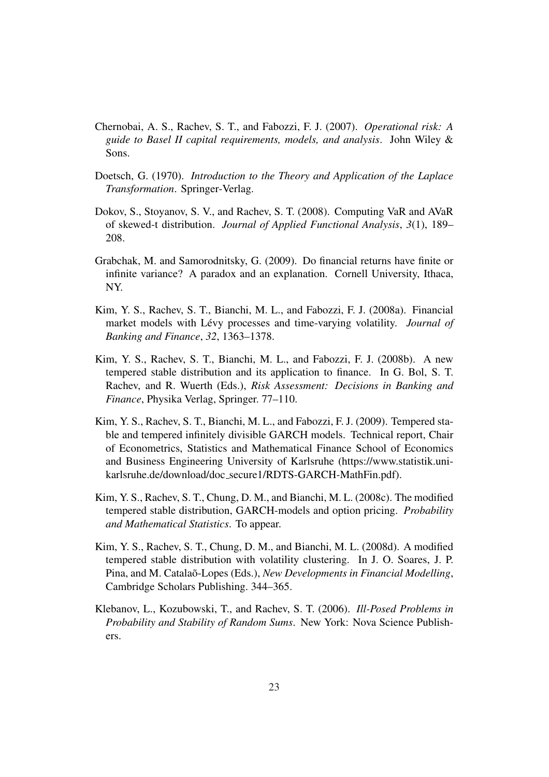- Chernobai, A. S., Rachev, S. T., and Fabozzi, F. J. (2007). *Operational risk: A guide to Basel II capital requirements, models, and analysis*. John Wiley & Sons.
- Doetsch, G. (1970). *Introduction to the Theory and Application of the Laplace Transformation*. Springer-Verlag.
- Dokov, S., Stoyanov, S. V., and Rachev, S. T. (2008). Computing VaR and AVaR of skewed-t distribution. *Journal of Applied Functional Analysis*, *3*(1), 189– 208.
- Grabchak, M. and Samorodnitsky, G. (2009). Do financial returns have finite or infinite variance? A paradox and an explanation. Cornell University, Ithaca, NY.
- Kim, Y. S., Rachev, S. T., Bianchi, M. L., and Fabozzi, F. J. (2008a). Financial market models with Lévy processes and time-varying volatility. *Journal of Banking and Finance*, *32*, 1363–1378.
- Kim, Y. S., Rachev, S. T., Bianchi, M. L., and Fabozzi, F. J. (2008b). A new tempered stable distribution and its application to finance. In G. Bol, S. T. Rachev, and R. Wuerth (Eds.), *Risk Assessment: Decisions in Banking and Finance*, Physika Verlag, Springer. 77–110.
- Kim, Y. S., Rachev, S. T., Bianchi, M. L., and Fabozzi, F. J. (2009). Tempered stable and tempered infinitely divisible GARCH models. Technical report, Chair of Econometrics, Statistics and Mathematical Finance School of Economics and Business Engineering University of Karlsruhe (https://www.statistik.unikarlsruhe.de/download/doc secure1/RDTS-GARCH-MathFin.pdf).
- Kim, Y. S., Rachev, S. T., Chung, D. M., and Bianchi, M. L. (2008c). The modified tempered stable distribution, GARCH-models and option pricing. *Probability and Mathematical Statistics*. To appear.
- Kim, Y. S., Rachev, S. T., Chung, D. M., and Bianchi, M. L. (2008d). A modified tempered stable distribution with volatility clustering. In J. O. Soares, J. P. Pina, and M. Catalao-Lopes (Eds.), *New Developments in Financial Modelling*, Cambridge Scholars Publishing. 344–365.
- Klebanov, L., Kozubowski, T., and Rachev, S. T. (2006). *Ill-Posed Problems in Probability and Stability of Random Sums*. New York: Nova Science Publishers.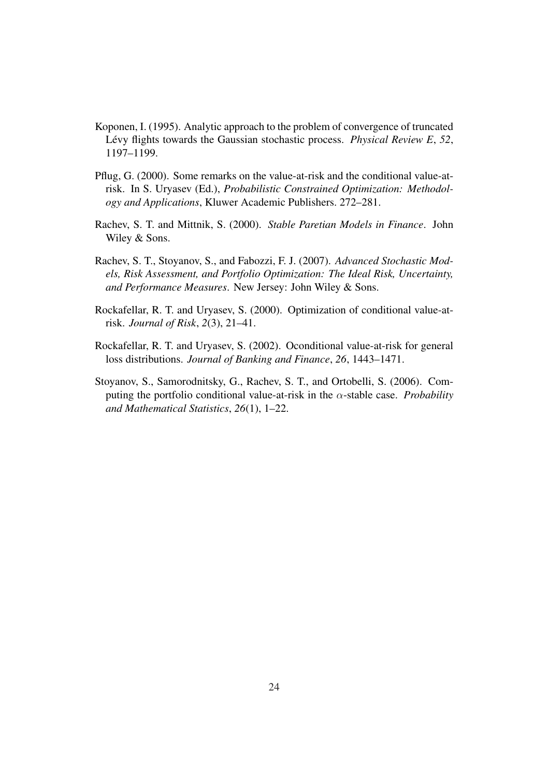- Koponen, I. (1995). Analytic approach to the problem of convergence of truncated Lévy flights towards the Gaussian stochastic process. *Physical Review E*, 52, 1197–1199.
- Pflug, G. (2000). Some remarks on the value-at-risk and the conditional value-atrisk. In S. Uryasev (Ed.), *Probabilistic Constrained Optimization: Methodology and Applications*, Kluwer Academic Publishers. 272–281.
- Rachev, S. T. and Mittnik, S. (2000). *Stable Paretian Models in Finance*. John Wiley & Sons.
- Rachev, S. T., Stoyanov, S., and Fabozzi, F. J. (2007). *Advanced Stochastic Models, Risk Assessment, and Portfolio Optimization: The Ideal Risk, Uncertainty, and Performance Measures*. New Jersey: John Wiley & Sons.
- Rockafellar, R. T. and Uryasev, S. (2000). Optimization of conditional value-atrisk. *Journal of Risk*, *2*(3), 21–41.
- Rockafellar, R. T. and Uryasev, S. (2002). Oconditional value-at-risk for general loss distributions. *Journal of Banking and Finance*, *26*, 1443–1471.
- Stoyanov, S., Samorodnitsky, G., Rachev, S. T., and Ortobelli, S. (2006). Computing the portfolio conditional value-at-risk in the  $\alpha$ -stable case. *Probability and Mathematical Statistics*, *26*(1), 1–22.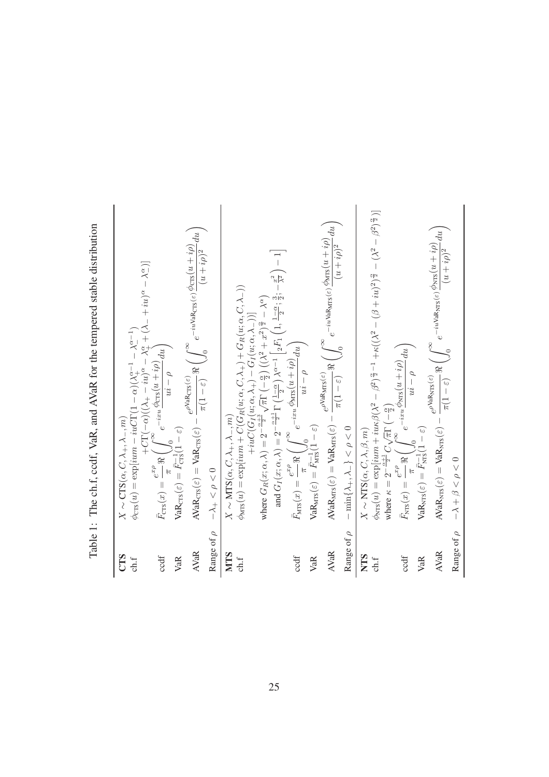| $-10+10+$<br>Table 1: The ch.f, ccdf, VaR, and AVaR for the tempered stable di<br>í |  |
|-------------------------------------------------------------------------------------|--|
|                                                                                     |  |
|                                                                                     |  |
|                                                                                     |  |
|                                                                                     |  |
|                                                                                     |  |

**Table 1:** The ch.f. ccdf, VaR, and AVaR for the tempered stable distribution  
\n
$$
\begin{array}{ll}\n\text{Table 1: The ch.f. ccdf, VaR, and AVaR for the tempered stable distribution} \\
\text{CTS} & X \sim \text{CTS}(\alpha, C, \lambda_+, \lambda_-, m) \\
\text{chf} & \phi_{\text{CR}}(u) = \exp[ium - iuG\Gamma(1 - \alpha)(\lambda_1^{\alpha - 1} - \lambda_-^{\alpha - 1})] \\
\text{chf} & F_{\text{CR}}(x) = \frac{e^x p}{\pi} \left( \int_0^\infty e^{-i\pi u} \frac{\text{deg}_{\text{CR}}(u + i\rho)}{u\,i - \rho} \, du \right) \\
\text{VaR} & \text{Var}_{\text{CR}}(x) = \frac{e^x p}{\pi} \left( \int_0^\infty e^{-i\pi u} \frac{\text{deg}_{\text{CR}}(u + i\rho)}{u\,i - \rho} \, du \right) \\
\text{NaR} & \text{Var}_{\text{CR}}(x) = \frac{e^x p}{\pi} \left( \int_0^\infty e^{-i\pi u} \frac{\text{deg}_{\text{CR}}(u + i\rho)}{u\,i - \rho} \, du \right) \\
\text{NaR} & \text{Meas}(\rho) = \frac{e^x p}{\pi} \left( \int_0^\infty e^{-i\pi u} \frac{\text{deg}_{\text{CR}}(u + i\rho)}{x\,i - \rho} \, du \right) \\
\text{NaR} & \text{Meas}(\rho) = \frac{e^x p}{\pi} \left( \int_0^\infty e^{-i\pi u} \frac{\text{deg}_{\text{CR}}(u + i\rho)}{u\,i - \rho} \, du \right) \\
\text{NaR} & \text{Meas}(\rho) = \frac{e^x p}{\pi} \left( \int_0^\infty e^{-i\pi u} \frac{\text{deg}_{\text{CR}}(u + i\rho)}{u\,i - \rho} \, du \right) \\
\text{NaR} & \text{Meas}(\rho) = \frac{e^x p}{\pi} \left( \int_0^\infty e^{-i\pi u} \frac{\text{deg}_{\text{CR}}(u + i\rho)}{u\,i - \rho} \, du \right) \\
\text{NaR} & \text{NaR}_{\text{CR}}(\varepsilon) = \frac{e^x
$$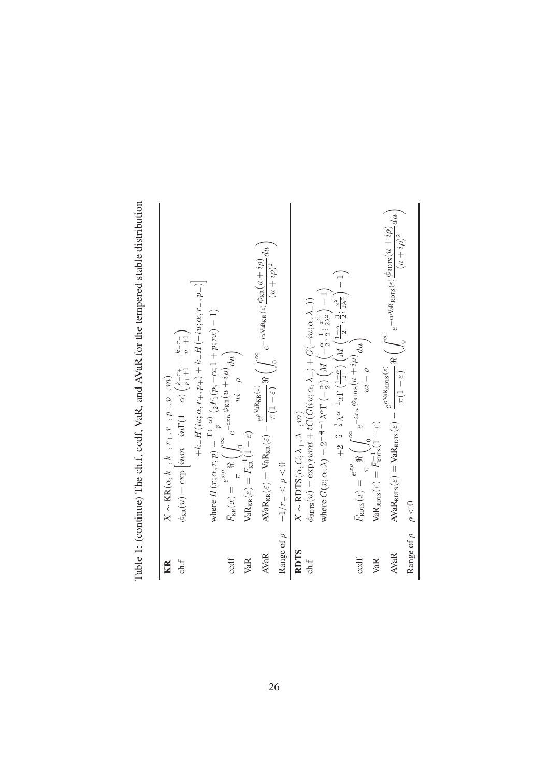|                        | Table 1: (continue) The ch.f, ccdf, VaR, and AVaR for the tempered stable distribution                                                                                                                                                                                                                                                                                       |
|------------------------|------------------------------------------------------------------------------------------------------------------------------------------------------------------------------------------------------------------------------------------------------------------------------------------------------------------------------------------------------------------------------|
| KR                     | $X \sim \text{KR}(\alpha, k_+, k_-, r_+, r_-, p_+, p_-, m)$                                                                                                                                                                                                                                                                                                                  |
| ch.f                   | $\phi_{\text{KR}}(u) = \exp\left[ium - iu\Gamma(1-\alpha)\left(\frac{k+r_+}{p_++1} - \frac{k-r_-}{p_-+1}\right)\right]$                                                                                                                                                                                                                                                      |
|                        | $+k_{+}H(iu;\alpha,r_{+},p_{+})+k_{-}H(-iu;\alpha,r_{-},p_{-})\Big $                                                                                                                                                                                                                                                                                                         |
|                        |                                                                                                                                                                                                                                                                                                                                                                              |
| ccdf                   | $\begin{array}{l} \mbox{where } H(x;\alpha,r,p) = \frac{\Gamma(-\alpha)}{p} \left( {}_2F_1(p,-\alpha;1+p;rx) - 1 \right) \\ \bar{F}_{\mathrm{KK}}(x) = \frac{e^{x \rho}}{\pi} \Re \left( \int_0^\infty e^{-ixu} \frac{\phi_{\mathrm{KK}}(u+i\rho)}{u i - \rho} du \right) \\ \mbox{VaR}_{\mathrm{KK}}(\varepsilon) = \bar{F}_{\mathrm{KK}}^{-1} (1-\varepsilon) \end{array}$ |
| VaR                    |                                                                                                                                                                                                                                                                                                                                                                              |
| <b>AVaR</b>            | $\text{AVaR}_{\text{RR}}(\varepsilon) = \text{VaR}_{\text{RR}}(\varepsilon) - \frac{e^{\rho \text{VaR}_{\text{KR}}(\varepsilon)}}{\pi(1-\varepsilon)} \Re \left( \int_0^\infty e^{-iu\text{VaR}_{\text{KR}}(\varepsilon)} \frac{\phi_{\text{KR}}(u+i\rho)}{(u+i\rho)^2} du \right)$                                                                                          |
| Range of $\rho$        | $-1/r_+<\rho<0$                                                                                                                                                                                                                                                                                                                                                              |
| <b>RDTS</b><br>ch.f    | $\phi_{\text{ROTS}}(u) = \exp[iumt + tC(G(iu; \alpha, \lambda_+) + G(-iu; \alpha, \lambda_-))$<br>$X \sim \text{RDTS}(\alpha, C, \lambda_+, \lambda_-, m)$                                                                                                                                                                                                                   |
|                        | where $G(x;\alpha,\lambda)=2^{-\frac{\alpha}{2}-1}\lambda^{\alpha}\Gamma\left(-\frac{\alpha}{2}\right)\left(M\left(-\frac{\alpha}{2},\frac{1}{2};\frac{x^2}{2\lambda^2}\right)-1\right)$                                                                                                                                                                                     |
|                        | $+2^{-\frac{\alpha}{2}-\frac{1}{2}}\lambda^{\alpha-1}x\Gamma\left(\tfrac{1-\alpha}{2}\right)\left(M\left(\tfrac{1-\alpha}{2},\tfrac{3}{2},\tfrac{x^2}{2\lambda^2}\right)-1\right)$                                                                                                                                                                                           |
| ccdf                   | $\big\lfloor du \big\rfloor$<br>$\bar{F}_{\rm RDTS}(x) = \frac{e^{x\rho}}{-\frac{1}{x}} \Re \left( \int_{0}^{\infty} e^{-ixu} \frac{\phi_{\rm RDTS}(u + i\rho)}{\frac{1}{x}} \right)$<br>$a - i$                                                                                                                                                                             |
| VaR                    | $\text{VaR}_{\text{RDFS}}(\varepsilon) = \frac{\mu}{F_{\text{RITS}}(1-\varepsilon)}$                                                                                                                                                                                                                                                                                         |
| <b>AVaR</b>            | $\begin{split} &\text{AVaR}_{\text{RDFS}}(\varepsilon) = \text{VaR}_{\text{RDFS}}(\varepsilon) - \frac{e^{\rho \cdot \text{vak} \text{RDFS}(\varepsilon)}}{\pi (1-\varepsilon)} \Re \left( \int_0^\infty e^{-i u \text{VaR}_{\text{RDFS}}(\varepsilon)} \frac{\phi_{\text{RITS}}(u+i\rho)}{(u+i\rho)^2} du \right) \, d\sigma \leq 0 \end{split}$                            |
| Range of $\rho \sim 0$ |                                                                                                                                                                                                                                                                                                                                                                              |
|                        |                                                                                                                                                                                                                                                                                                                                                                              |

stable distribution Table 1: (continue) The ch f codf VaR and AVaR for the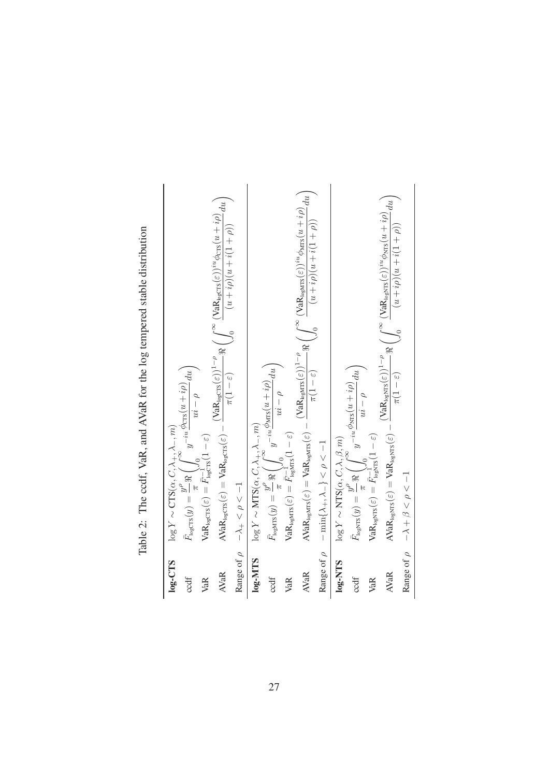Table 2: The ccdf, VaR, and AVaR for the log tempered stable distribution Table 2: The ccdf, VaR, and AVaR for the log tempered stable distribution

| $log-CTS$       | $\log Y \sim \text{CTS}(\alpha, C, \lambda_+, \lambda_-, m)$                                                                                                                                                                                                                                                                      |
|-----------------|-----------------------------------------------------------------------------------------------------------------------------------------------------------------------------------------------------------------------------------------------------------------------------------------------------------------------------------|
| ccdf            | $\begin{array}{l} \displaystyle \bar{F}_{\text{ngcrrs}}(y) = \frac{y^\rho}{\pi} \Re \left( \int_0^\infty y^{-iu} \frac{\dot{\phi}_{\text{crrs}}(u+i\rho)}{u i - \rho} du \right) \\ \displaystyle \text{VaR}_{\text{ngcrs}}(\varepsilon) = \bar{F}_{\text{ngcrs}}^{-1}(1-\varepsilon) \end{array}$                                |
| VaR             |                                                                                                                                                                                                                                                                                                                                   |
| <b>AVaR</b>     | $\text{AVaR}_{\text{logcrs}}(\varepsilon) = \text{VaR}_{\text{logcrs}}(\varepsilon) - \frac{(\text{VaR}_{\text{logcrs}}(\varepsilon))^{1-\rho}}{\pi(1-\varepsilon)} \Re \left( \int_0^\infty \frac{(\text{VaR}_{\text{logcrs}}(\varepsilon))^{iu} \phi_{\text{crs}}(u+i\rho)}{(u+i\rho)(u+i(1+\rho))} du \right)$                 |
| Range of $\rho$ | $-\lambda_+ < \rho < -1$                                                                                                                                                                                                                                                                                                          |
| $log-MTS$       |                                                                                                                                                                                                                                                                                                                                   |
| ccdf            | $\begin{array}{l} \log Y \sim \text{MTS}(\alpha, C, \lambda_+, \lambda_-, m) \\ \bar{F}_{\text{logMTS}}(y) = \frac{y^\rho}{\pi} \Re \left( \int_0^\infty y^{-iu} \frac{\phi_{\text{MTS}}(u+ i \rho)}{u i - \rho} du \right) \\ \text{VaR}_{\text{logMTS}}(\varepsilon) = \bar{F}_{\text{logMTS}}^{-1}(1-\varepsilon) \end{array}$ |
| VaR             |                                                                                                                                                                                                                                                                                                                                   |
| <b>AVaR</b>     | $\text{AVaR}_{\text{negMIS}}(\varepsilon) = \text{VaR}_{\text{negMIS}}(\varepsilon) - \frac{(\text{VaR}_{\text{negMIS}}(\varepsilon))^{1-\rho}}{\pi(1-\varepsilon)} \Re \left( \int_0^\infty \frac{(\text{VaR}_{\text{negMIS}}(\varepsilon))^{iu} \phi_{\text{MIS}}(u+i\rho)}{(u+i\rho)(u+i(1+\rho))}du \right)$                  |
| Range of $\rho$ | $-\min\{\lambda_+,\lambda_-\}<\rho<-1$                                                                                                                                                                                                                                                                                            |
| $log-NTS$       | $\log Y \sim \text{NTS}(\alpha, \mathcal{C}, \lambda, \beta, m)$                                                                                                                                                                                                                                                                  |
| ccdf            | $\begin{array}{l} \displaystyle \bar{F}_{\text{logNTS}}(y) = \frac{y^\rho}{\pi} \Re \left( \int_0^\infty y^{-iu} \frac{\phi_{\text{NTS}}(u+ i \rho)}{u i - \rho} du \right) \\ \displaystyle \text{VaR}_{\text{logNTS}}(\varepsilon) = \bar{F}_{\text{logNTS}}^{-1}(1-\varepsilon) \end{array}$                                   |
| VaR             |                                                                                                                                                                                                                                                                                                                                   |
| <b>AVaR</b>     | $\text{AVaR}_{\text{logNTS}}(\varepsilon) = \text{VaR}_{\text{logNTS}}(\varepsilon) - \frac{(\text{VaR}_{\text{logNTS}}(\varepsilon))^{1-\rho}}{\pi(1-\varepsilon)} \Re \left( \int_0^\infty \frac{(\text{VaR}_{\text{logNTS}}(\varepsilon))^{iu} \phi_{\text{NTS}}(u+i\rho)}{(u+i\rho)(u+i(1+\rho))} du \right)$                 |
|                 | Range of $\rho$ $-\lambda + \beta < \rho < -1$                                                                                                                                                                                                                                                                                    |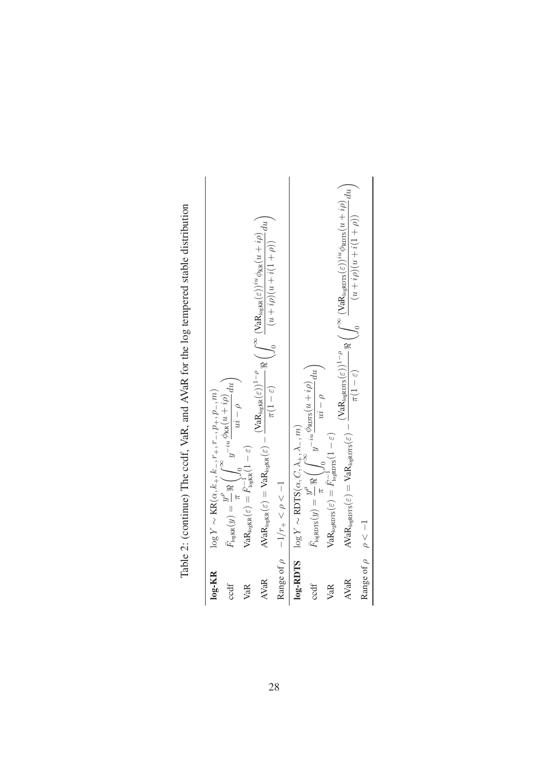| <b>PARTHER</b>                                                                                                                                                                                                                                                                                                            |
|---------------------------------------------------------------------------------------------------------------------------------------------------------------------------------------------------------------------------------------------------------------------------------------------------------------------------|
|                                                                                                                                                                                                                                                                                                                           |
|                                                                                                                                                                                                                                                                                                                           |
| Table 2: (continue) The code VaR and AVaR for the log tempered stable distribution<br>se posses in the contract of the contract of the contract of the contract of the contract of the contract of the contract of the contract of the contract of the contract of the contract of the contract of the contract of t<br>4 |
|                                                                                                                                                                                                                                                                                                                           |
|                                                                                                                                                                                                                                                                                                                           |
|                                                                                                                                                                                                                                                                                                                           |
|                                                                                                                                                                                                                                                                                                                           |
|                                                                                                                                                                                                                                                                                                                           |
| $\ddot{\phantom{0}}$                                                                                                                                                                                                                                                                                                      |
|                                                                                                                                                                                                                                                                                                                           |
| ココココ                                                                                                                                                                                                                                                                                                                      |

| $log-KR$                    |                                                                                                                                                                                                                                                                                                                                                                                                                           |
|-----------------------------|---------------------------------------------------------------------------------------------------------------------------------------------------------------------------------------------------------------------------------------------------------------------------------------------------------------------------------------------------------------------------------------------------------------------------|
| $\cot$                      |                                                                                                                                                                                                                                                                                                                                                                                                                           |
| VaR                         | $\text{VaR}_{\text{logKR}}(\varepsilon) = \bar{F}_{\text{logKR}}^{-1} (1-\varepsilon)$                                                                                                                                                                                                                                                                                                                                    |
| <b>AVaR</b>                 | $\text{AVaR}_{\text{logKR}}(\varepsilon) = \text{VaR}_{\text{logKR}}(\varepsilon) - \frac{(\text{VaR}_{\text{logKR}}(\varepsilon))^{1-\rho}}{\pi(1-\varepsilon)} \, \Re \left( \int_0^\infty \frac{(\text{VaR}_{\text{logKR}}(\varepsilon))^{iu} \phi_{\text{KR}}(u+i\rho)}{(u+i\rho)(u+i(1+\rho))} \, du \right)$                                                                                                        |
|                             | Range of $\rho$ -1/r+ < $\rho$ < -1                                                                                                                                                                                                                                                                                                                                                                                       |
|                             | $\label{eq:log-RDTS} \textbf{log-RDTS} \quad \log Y \sim \textbf{RDTS}(\alpha, C, \lambda_+, \lambda_-, m)$                                                                                                                                                                                                                                                                                                               |
| $\cot$                      | $\bar{F}_{\text{logROTS}}(y) = \frac{y^{\rho}}{\pi} \Re \left( \int_{\cdot}^{\infty} y^{-iu} \frac{\phi_{\text{ROTS}}(u + i \rho)}{\cdot} du \right)$<br>$ui - \rho$                                                                                                                                                                                                                                                      |
| VaR                         | $\text{VaR}_{\text{logRDIS}}(\varepsilon) = \frac{7}{F_{\text{logRDIS}}}(1-\varepsilon)$                                                                                                                                                                                                                                                                                                                                  |
| <b>AVaR</b>                 | $\left(\mathrm{VaR}_{\text{logRDR}}(\varepsilon)\right)^{1-\rho} \Re \left( \int_{-\infty}^{\infty} \frac{(\mathrm{VaR}_{\text{logRDRS}}(\varepsilon))^{iu} \phi_{\text{RDRS}}(u+ i \rho)}{ \phi_{\text{max}}(u+ i \rho)} \frac{du}{\rho} \right)$<br>$\int_0^1 (u + i \rho)(u + i \rho)(u + \rho)$<br>$\pi(1-\varepsilon)$<br>$\text{AVaR}_{\text{logRDIS}}(\varepsilon) = \text{VaR}_{\text{logRDIS}}(\varepsilon) - 1$ |
| Range of $\rho$ $\rho < -1$ |                                                                                                                                                                                                                                                                                                                                                                                                                           |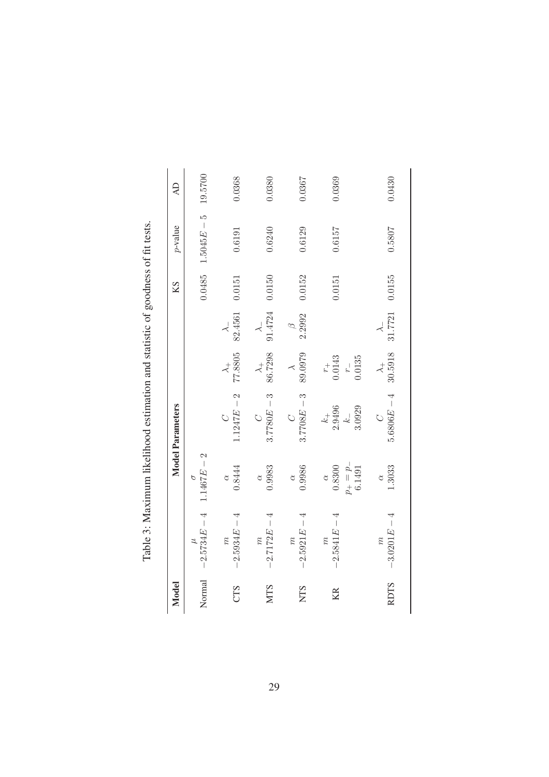| izelihood estimation and statistic of soodness of fittests<br>$\frac{1}{2}$<br>ļ |
|----------------------------------------------------------------------------------|
| $\frac{1}{2}$                                                                    |
|                                                                                  |
|                                                                                  |
| )<br>}<br>!                                                                      |
|                                                                                  |
| ;;;                                                                              |
|                                                                                  |
|                                                                                  |
| I<br>1                                                                           |

| Model       |                                   |                                                                       | <b>Model Parameters</b>                                                               |                                           |                         | KS     | $p$ -value    | $\overline{d}$ |
|-------------|-----------------------------------|-----------------------------------------------------------------------|---------------------------------------------------------------------------------------|-------------------------------------------|-------------------------|--------|---------------|----------------|
| Normal      | $-2.5734E - 4$                    | 2<br>$1.1467E -$<br>$\varphi$                                         |                                                                                       |                                           |                         | 0.0485 | $1.5045E - 5$ | 19.5700        |
| CTS         | $-2.5934E - 4$<br>$\widetilde{n}$ | 0.8444                                                                | $.1247E - 2$                                                                          | $\frac{\lambda_{+}}{77.8805}$             | 82.4561                 | 0.0151 | 0.6191        | 0.368          |
| <b>NTS</b>  | $-2.7172E - 4$<br>$\widetilde{n}$ | 0.9983<br>$\alpha$                                                    | $3.7780E - 3$                                                                         | $\lambda_{+}$ 86.7298                     | 91.4724<br>$\prec$      | 0.0150 | 0.6240        | 0380           |
| <b>NTS</b>  | $-2.5921E - 4$<br>$\widetilde{n}$ | 0.9986<br>$\alpha$                                                    | $3.7708E - 3$                                                                         | 89.0979<br>$\tilde{\phantom{a}}$          | 2.2992<br>$\mathscr{D}$ | 0.0152 | 0.6129        | 1.0367         |
| KR          | $-2.5841E - 4$<br>$\widetilde{n}$ | $\begin{array}{c} p_+=p_-\cr 6.1491\end{array}$<br>0.8300<br>$\alpha$ | $\begin{array}{c} k_+ \\ 2.9496 \end{array}$<br>3.0929<br>$k_{\scriptscriptstyle{-}}$ | 0.135<br>$r_{+}$<br>0.0143<br>$r_{\rm -}$ |                         | 0.0151 | 0.6157        | 0.0369         |
| <b>RDTS</b> | $-3.0201E - 4$<br>$\widetilde{n}$ | 1.3033                                                                | $5.6806E - 4$<br>$\circ$                                                              | $\lambda_+$ 30.5918                       | 31.7721                 | 0.0155 | 0.5807        | 0.0430         |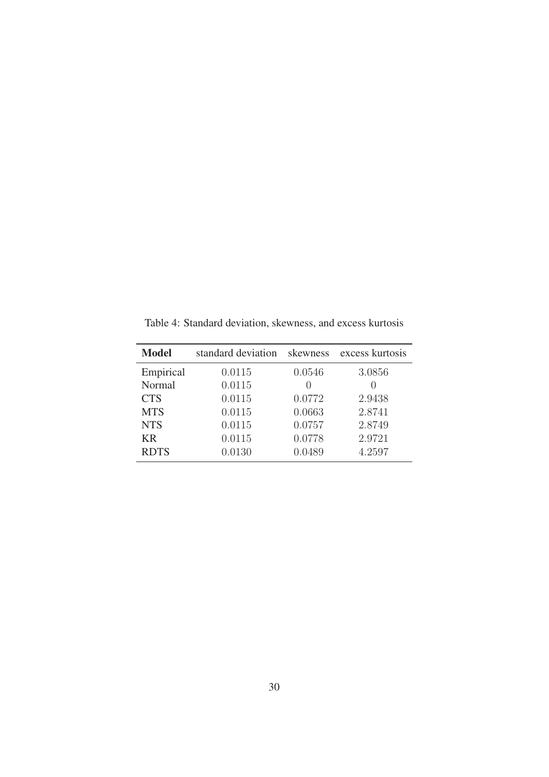| <b>Model</b> | standard deviation | skewness         | excess kurtosis  |
|--------------|--------------------|------------------|------------------|
| Empirical    | 0.0115             | 0.0546           | 3.0856           |
| Normal       | 0.0115             | $\left( \right)$ | $\left( \right)$ |
| <b>CTS</b>   | 0.0115             | 0.0772           | 2.9438           |
| <b>MTS</b>   | 0.0115             | 0.0663           | 2.8741           |
| <b>NTS</b>   | 0.0115             | 0.0757           | 2.8749           |
| <b>KR</b>    | 0.0115             | 0.0778           | 2.9721           |
| <b>RDTS</b>  | 0.0130             | 0.0489           | 4.2597           |

Table 4: Standard deviation, skewness, and excess kurtosis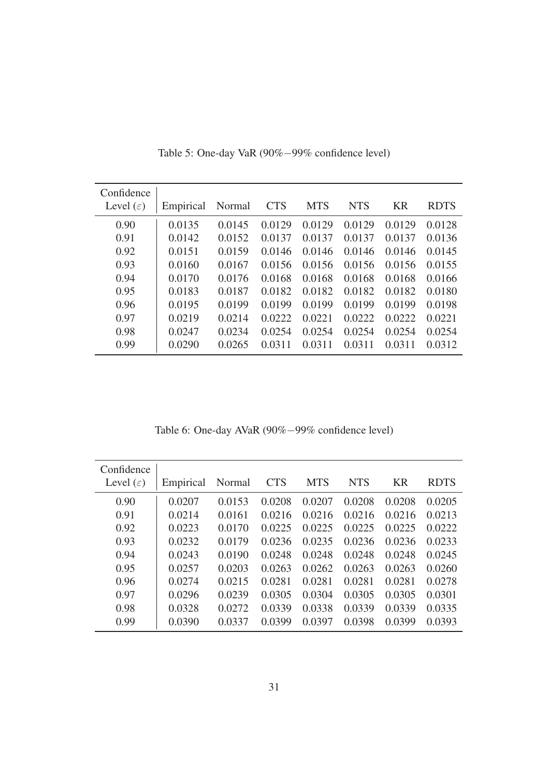| Confidence<br>Level $(\varepsilon)$ | Empirical | Normal | <b>CTS</b> | <b>MTS</b> | <b>NTS</b> | <b>KR</b> | <b>RDTS</b> |
|-------------------------------------|-----------|--------|------------|------------|------------|-----------|-------------|
|                                     |           |        |            |            |            |           |             |
| 0.90                                | 0.0135    | 0.0145 | 0.0129     | 0.0129     | 0.0129     | 0.0129    | 0.0128      |
| 0.91                                | 0.0142    | 0.0152 | 0.0137     | 0.0137     | 0.0137     | 0.0137    | 0.0136      |
| 0.92                                | 0.0151    | 0.0159 | 0.0146     | 0.0146     | 0.0146     | 0.0146    | 0.0145      |
| 0.93                                | 0.0160    | 0.0167 | 0.0156     | 0.0156     | 0.0156     | 0.0156    | 0.0155      |
| 0.94                                | 0.0170    | 0.0176 | 0.0168     | 0.0168     | 0.0168     | 0.0168    | 0.0166      |
| 0.95                                | 0.0183    | 0.0187 | 0.0182     | 0.0182     | 0.0182     | 0.0182    | 0.0180      |
| 0.96                                | 0.0195    | 0.0199 | 0.0199     | 0.0199     | 0.0199     | 0.0199    | 0.0198      |
| 0.97                                | 0.0219    | 0.0214 | 0.0222     | 0.0221     | 0.0222     | 0.0222    | 0.0221      |
| 0.98                                | 0.0247    | 0.0234 | 0.0254     | 0.0254     | 0.0254     | 0.0254    | 0.0254      |
| 0.99                                | 0.0290    | 0.0265 | 0.0311     | 0.0311     | 0.0311     | 0.0311    | 0.0312      |

Table 5: One-day VaR (90%−99% confidence level)

Table 6: One-day AVaR (90%−99% confidence level)

| Confidence            |           |        |            |            |            |           |             |
|-----------------------|-----------|--------|------------|------------|------------|-----------|-------------|
| Level $(\varepsilon)$ | Empirical | Normal | <b>CTS</b> | <b>MTS</b> | <b>NTS</b> | <b>KR</b> | <b>RDTS</b> |
| 0.90                  | 0.0207    | 0.0153 | 0.0208     | 0.0207     | 0.0208     | 0.0208    | 0.0205      |
| 0.91                  | 0.0214    | 0.0161 | 0.0216     | 0.0216     | 0.0216     | 0.0216    | 0.0213      |
| 0.92                  | 0.0223    | 0.0170 | 0.0225     | 0.0225     | 0.0225     | 0.0225    | 0.0222      |
| 0.93                  | 0.0232    | 0.0179 | 0.0236     | 0.0235     | 0.0236     | 0.0236    | 0.0233      |
| 0.94                  | 0.0243    | 0.0190 | 0.0248     | 0.0248     | 0.0248     | 0.0248    | 0.0245      |
| 0.95                  | 0.0257    | 0.0203 | 0.0263     | 0.0262     | 0.0263     | 0.0263    | 0.0260      |
| 0.96                  | 0.0274    | 0.0215 | 0.0281     | 0.0281     | 0.0281     | 0.0281    | 0.0278      |
| 0.97                  | 0.0296    | 0.0239 | 0.0305     | 0.0304     | 0.0305     | 0.0305    | 0.0301      |
| 0.98                  | 0.0328    | 0.0272 | 0.0339     | 0.0338     | 0.0339     | 0.0339    | 0.0335      |
| 0.99                  | 0.0390    | 0.0337 | 0.0399     | 0.0397     | 0.0398     | 0.0399    | 0.0393      |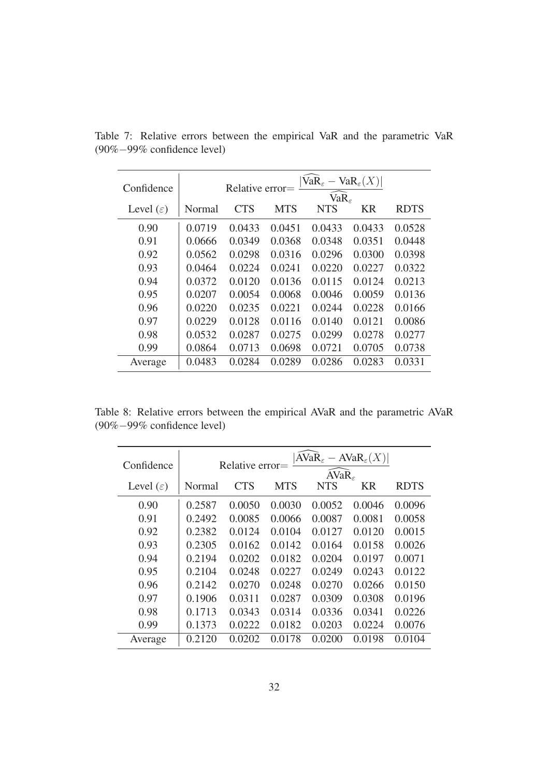| Confidence            | $ \text{VaR}_{\varepsilon}-\text{VaR}_{\varepsilon}(X) $<br>Relative error=<br>$VaR_{\epsilon}$ |            |            |            |        |             |  |  |  |
|-----------------------|-------------------------------------------------------------------------------------------------|------------|------------|------------|--------|-------------|--|--|--|
| Level $(\varepsilon)$ | Normal                                                                                          | <b>CTS</b> | <b>MTS</b> | <b>NTS</b> | KR     | <b>RDTS</b> |  |  |  |
| 0.90                  | 0.0719                                                                                          | 0.0433     | 0.0451     | 0.0433     | 0.0433 | 0.0528      |  |  |  |
| 0.91                  | 0.0666                                                                                          | 0.0349     | 0.0368     | 0.0348     | 0.0351 | 0.0448      |  |  |  |
| 0.92                  | 0.0562                                                                                          | 0.0298     | 0.0316     | 0.0296     | 0.0300 | 0.0398      |  |  |  |
| 0.93                  | 0.0464                                                                                          | 0.0224     | 0.0241     | 0.0220     | 0.0227 | 0.0322      |  |  |  |
| 0.94                  | 0.0372                                                                                          | 0.0120     | 0.0136     | 0.0115     | 0.0124 | 0.0213      |  |  |  |
| 0.95                  | 0.0207                                                                                          | 0.0054     | 0.0068     | 0.0046     | 0.0059 | 0.0136      |  |  |  |
| 0.96                  | 0.0220                                                                                          | 0.0235     | 0.0221     | 0.0244     | 0.0228 | 0.0166      |  |  |  |
| 0.97                  | 0.0229                                                                                          | 0.0128     | 0.0116     | 0.0140     | 0.0121 | 0.0086      |  |  |  |
| 0.98                  | 0.0532                                                                                          | 0.0287     | 0.0275     | 0.0299     | 0.0278 | 0.0277      |  |  |  |
| 0.99                  | 0.0864                                                                                          | 0.0713     | 0.0698     | 0.0721     | 0.0705 | 0.0738      |  |  |  |
| Average               | 0.0483                                                                                          | 0.0284     | 0.0289     | 0.0286     | 0.0283 | 0.0331      |  |  |  |

Table 7: Relative errors between the empirical VaR and the parametric VaR (90%−99% confidence level)

Table 8: Relative errors between the empirical AVaR and the parametric AVaR (90%−99% confidence level)

| Confidence            | $ AVaR_{\varepsilon}-AVaR_{\varepsilon}(X) $<br>Relative error= |            |            |                                 |             |        |  |
|-----------------------|-----------------------------------------------------------------|------------|------------|---------------------------------|-------------|--------|--|
| Level $(\varepsilon)$ | Normal                                                          | <b>CTS</b> | <b>MTS</b> | AVaR <sub>e</sub><br><b>NTS</b> | <b>RDTS</b> |        |  |
| 0.90                  | 0.2587                                                          | 0.0050     | 0.0030     | 0.0052                          | 0.0046      | 0.0096 |  |
| 0.91                  | 0.2492                                                          | 0.0085     | 0.0066     | 0.0087                          | 0.0081      | 0.0058 |  |
| 0.92                  | 0.2382                                                          | 0.0124     | 0.0104     | 0.0127                          | 0.0120      | 0.0015 |  |
| 0.93                  | 0.2305                                                          | 0.0162     | 0.0142     | 0.0164                          | 0.0158      | 0.0026 |  |
| 0.94                  | 0.2194                                                          | 0.0202     | 0.0182     | 0.0204                          | 0.0197      | 0.0071 |  |
| 0.95                  | 0.2104                                                          | 0.0248     | 0.0227     | 0.0249                          | 0.0243      | 0.0122 |  |
| 0.96                  | 0.2142                                                          | 0.0270     | 0.0248     | 0.0270                          | 0.0266      | 0.0150 |  |
| 0.97                  | 0.1906                                                          | 0.0311     | 0.0287     | 0.0309                          | 0.0308      | 0.0196 |  |
| 0.98                  | 0.1713                                                          | 0.0343     | 0.0314     | 0.0336                          | 0.0341      | 0.0226 |  |
| 0.99                  | 0.1373                                                          | 0.0222     | 0.0182     | 0.0203                          | 0.0224      | 0.0076 |  |
| Average               | 0.2120                                                          | 0.0202     | 0.0178     | 0.0200                          | 0.0198      | 0.0104 |  |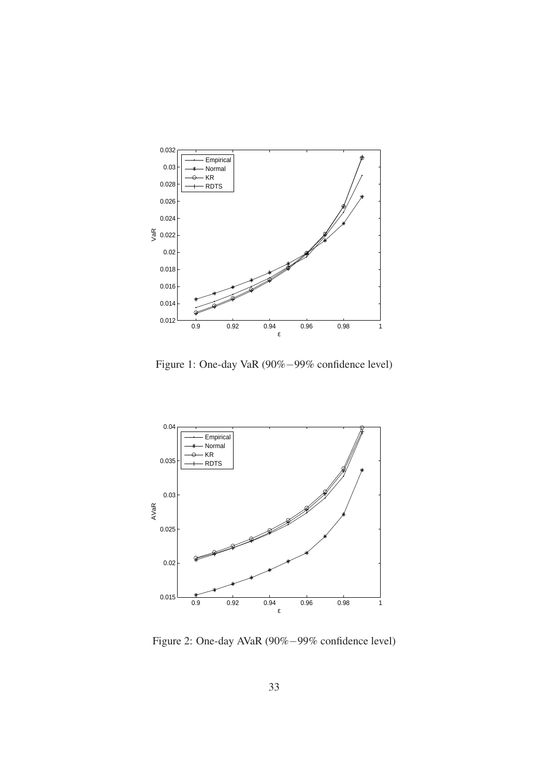

Figure 1: One-day VaR (90%−99% confidence level)



Figure 2: One-day AVaR (90%−99% confidence level)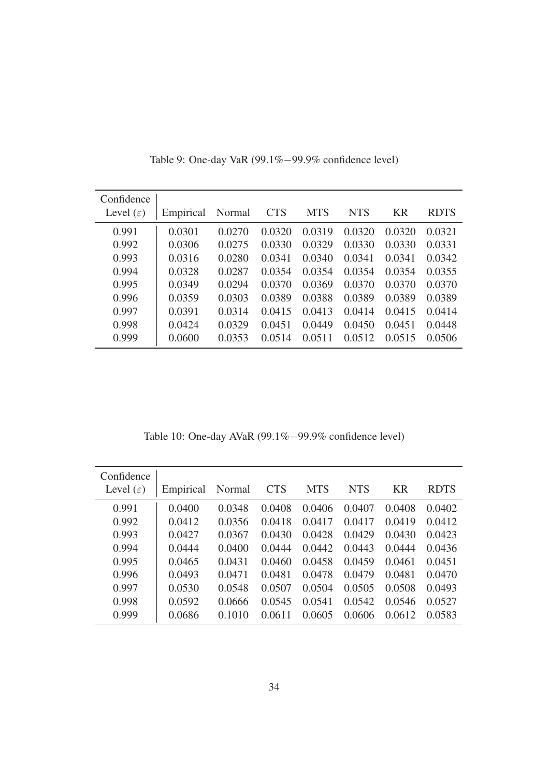| Confidence<br>Level $(\varepsilon)$ | Empirical | Normal | <b>CTS</b> | <b>MTS</b> | <b>NTS</b> | <b>KR</b> | <b>RDTS</b> |
|-------------------------------------|-----------|--------|------------|------------|------------|-----------|-------------|
|                                     |           |        |            |            |            |           |             |
| 0.991                               | 0.0301    | 0.0270 | 0.0320     | 0.0319     | 0.0320     | 0.0320    | 0.0321      |
| 0.992                               | 0.0306    | 0.0275 | 0.0330     | 0.0329     | 0.0330     | 0.0330    | 0.0331      |
| 0.993                               | 0.0316    | 0.0280 | 0.0341     | 0.0340     | 0.0341     | 0.0341    | 0.0342      |
| 0.994                               | 0.0328    | 0.0287 | 0.0354     | 0.0354     | 0.0354     | 0.0354    | 0.0355      |
| 0.995                               | 0.0349    | 0.0294 | 0.0370     | 0.0369     | 0.0370     | 0.0370    | 0.0370      |
| 0.996                               | 0.0359    | 0.0303 | 0.0389     | 0.0388     | 0.0389     | 0.0389    | 0.0389      |
| 0.997                               | 0.0391    | 0.0314 | 0.0415     | 0.0413     | 0.0414     | 0.0415    | 0.0414      |
| 0.998                               | 0.0424    | 0.0329 | 0.0451     | 0.0449     | 0.0450     | 0.0451    | 0.0448      |
| 0.999                               | 0.0600    | 0.0353 | 0.0514     | 0.0511     | 0.0512     | 0.0515    | 0.0506      |

Table 9: One-day VaR (99.1%−99.9% confidence level)

Table 10: One-day AVaR (99.1%−99.9% confidence level)

| Confidence            |           |        |            |            |            |           |             |
|-----------------------|-----------|--------|------------|------------|------------|-----------|-------------|
| Level $(\varepsilon)$ | Empirical | Normal | <b>CTS</b> | <b>MTS</b> | <b>NTS</b> | <b>KR</b> | <b>RDTS</b> |
| 0.991                 | 0.0400    | 0.0348 | 0.0408     | 0.0406     | 0.0407     | 0.0408    | 0.0402      |
| 0.992                 | 0.0412    | 0.0356 | 0.0418     | 0.0417     | 0.0417     | 0.0419    | 0.0412      |
| 0.993                 | 0.0427    | 0.0367 | 0.0430     | 0.0428     | 0.0429     | 0.0430    | 0.0423      |
| 0.994                 | 0.0444    | 0.0400 | 0.0444     | 0.0442     | 0.0443     | 0.0444    | 0.0436      |
| 0.995                 | 0.0465    | 0.0431 | 0.0460     | 0.0458     | 0.0459     | 0.0461    | 0.0451      |
| 0.996                 | 0.0493    | 0.0471 | 0.0481     | 0.0478     | 0.0479     | 0.0481    | 0.0470      |
| 0.997                 | 0.0530    | 0.0548 | 0.0507     | 0.0504     | 0.0505     | 0.0508    | 0.0493      |
| 0.998                 | 0.0592    | 0.0666 | 0.0545     | 0.0541     | 0.0542     | 0.0546    | 0.0527      |
| 0.999                 | 0.0686    | 0.1010 | 0.0611     | 0.0605     | 0.0606     | 0.0612    | 0.0583      |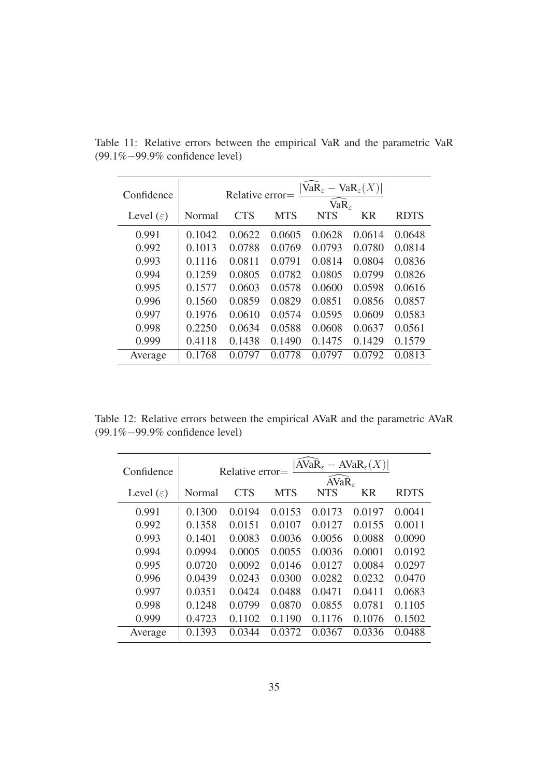| Confidence            | $VaR_{\varepsilon} - VaR_{\varepsilon}(X)$<br>Relative error=<br>$VaR\epsilon$ |            |            |            |        |             |  |
|-----------------------|--------------------------------------------------------------------------------|------------|------------|------------|--------|-------------|--|
| Level $(\varepsilon)$ | Normal                                                                         | <b>CTS</b> | <b>MTS</b> | <b>NTS</b> | KR     | <b>RDTS</b> |  |
| 0.991                 | 0.1042                                                                         | 0.0622     | 0.0605     | 0.0628     | 0.0614 | 0.0648      |  |
| 0.992                 | 0.1013                                                                         | 0.0788     | 0.0769     | 0.0793     | 0.0780 | 0.0814      |  |
| 0.993                 | 0.1116                                                                         | 0.0811     | 0.0791     | 0.0814     | 0.0804 | 0.0836      |  |
| 0.994                 | 0.1259                                                                         | 0.0805     | 0.0782     | 0.0805     | 0.0799 | 0.0826      |  |
| 0.995                 | 0.1577                                                                         | 0.0603     | 0.0578     | 0.0600     | 0.0598 | 0.0616      |  |
| 0.996                 | 0.1560                                                                         | 0.0859     | 0.0829     | 0.0851     | 0.0856 | 0.0857      |  |
| 0.997                 | 0.1976                                                                         | 0.0610     | 0.0574     | 0.0595     | 0.0609 | 0.0583      |  |
| 0.998                 | 0.2250                                                                         | 0.0634     | 0.0588     | 0.0608     | 0.0637 | 0.0561      |  |
| 0.999                 | 0.4118                                                                         | 0.1438     | 0.1490     | 0.1475     | 0.1429 | 0.1579      |  |
| Average               | 0.1768                                                                         | 0.0797     | 0.0778     | 0.0797     | 0.0792 | 0.0813      |  |

Table 11: Relative errors between the empirical VaR and the parametric VaR (99.1%−99.9% confidence level)

Table 12: Relative errors between the empirical AVaR and the parametric AVaR (99.1%−99.9% confidence level)

| Confidence            | $ AVaR_{\varepsilon}-AVaR_{\varepsilon}(X) $<br>Relative error=<br>$\overline{AVaR}_{\epsilon}$ |            |            |            |        |             |  |
|-----------------------|-------------------------------------------------------------------------------------------------|------------|------------|------------|--------|-------------|--|
| Level $(\varepsilon)$ | Normal                                                                                          | <b>CTS</b> | <b>MTS</b> | <b>NTS</b> | KR     | <b>RDTS</b> |  |
| 0.991                 | 0.1300                                                                                          | 0.0194     | 0.0153     | 0.0173     | 0.0197 | 0.0041      |  |
| 0.992                 | 0.1358                                                                                          | 0.0151     | 0.0107     | 0.0127     | 0.0155 | 0.0011      |  |
| 0.993                 | 0.1401                                                                                          | 0.0083     | 0.0036     | 0.0056     | 0.0088 | 0.0090      |  |
| 0.994                 | 0.0994                                                                                          | 0.0005     | 0.0055     | 0.0036     | 0.0001 | 0.0192      |  |
| 0.995                 | 0.0720                                                                                          | 0.0092     | 0.0146     | 0.0127     | 0.0084 | 0.0297      |  |
| 0.996                 | 0.0439                                                                                          | 0.0243     | 0.0300     | 0.0282     | 0.0232 | 0.0470      |  |
| 0.997                 | 0.0351                                                                                          | 0.0424     | 0.0488     | 0.0471     | 0.0411 | 0.0683      |  |
| 0.998                 | 0.1248                                                                                          | 0.0799     | 0.0870     | 0.0855     | 0.0781 | 0.1105      |  |
| 0.999                 | 0.4723                                                                                          | 0.1102     | 0.1190     | 0.1176     | 0.1076 | 0.1502      |  |
| Average               | 0.1393                                                                                          | 0.0344     | 0.0372     | 0.0367     | 0.0336 | 0.0488      |  |